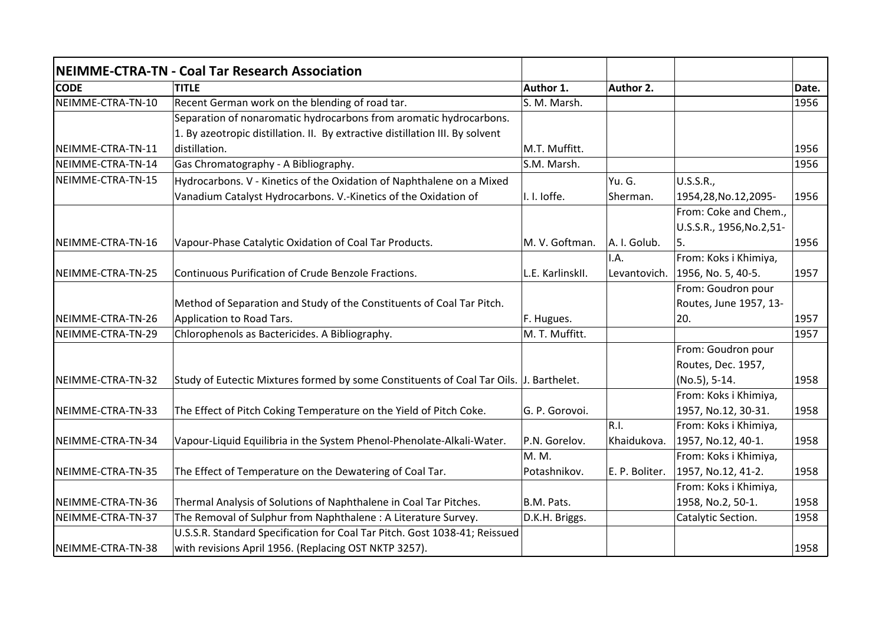|                   | <b>NEIMME-CTRA-TN - Coal Tar Research Association</b>                                  |                  |                |                           |       |
|-------------------|----------------------------------------------------------------------------------------|------------------|----------------|---------------------------|-------|
| <b>CODE</b>       | <b>TITLE</b>                                                                           | Author 1.        | Author 2.      |                           | Date. |
| NEIMME-CTRA-TN-10 | Recent German work on the blending of road tar.                                        | S. M. Marsh.     |                |                           | 1956  |
|                   | Separation of nonaromatic hydrocarbons from aromatic hydrocarbons.                     |                  |                |                           |       |
|                   | 1. By azeotropic distillation. II. By extractive distillation III. By solvent          |                  |                |                           |       |
| NEIMME-CTRA-TN-11 | distillation.                                                                          | M.T. Muffitt.    |                |                           | 1956  |
| NEIMME-CTRA-TN-14 | Gas Chromatography - A Bibliography.                                                   | S.M. Marsh.      |                |                           | 1956  |
| NEIMME-CTRA-TN-15 | Hydrocarbons. V - Kinetics of the Oxidation of Naphthalene on a Mixed                  |                  | Yu. G.         | U.S.S.R.,                 |       |
|                   | Vanadium Catalyst Hydrocarbons. V.-Kinetics of the Oxidation of                        | I. I. loffe.     | Sherman.       | 1954,28, No.12, 2095-     | 1956  |
|                   |                                                                                        |                  |                | From: Coke and Chem.,     |       |
|                   |                                                                                        |                  |                | U.S.S.R., 1956, No.2, 51- |       |
| NEIMME-CTRA-TN-16 | Vapour-Phase Catalytic Oxidation of Coal Tar Products.                                 | M. V. Goftman.   | A. I. Golub.   | 5.                        | 1956  |
|                   |                                                                                        |                  | I.A.           | From: Koks i Khimiya,     |       |
| NEIMME-CTRA-TN-25 | Continuous Purification of Crude Benzole Fractions.                                    | L.E. KarlinskII. | Levantovich.   | 1956, No. 5, 40-5.        | 1957  |
|                   |                                                                                        |                  |                | From: Goudron pour        |       |
|                   | Method of Separation and Study of the Constituents of Coal Tar Pitch.                  |                  |                | Routes, June 1957, 13-    |       |
| NEIMME-CTRA-TN-26 | Application to Road Tars.                                                              | F. Hugues.       |                | 20.                       | 1957  |
| NEIMME-CTRA-TN-29 | Chlorophenols as Bactericides. A Bibliography.                                         | M. T. Muffitt.   |                |                           | 1957  |
|                   |                                                                                        |                  |                | From: Goudron pour        |       |
|                   |                                                                                        |                  |                | Routes, Dec. 1957,        |       |
| NEIMME-CTRA-TN-32 | Study of Eutectic Mixtures formed by some Constituents of Coal Tar Oils. J. Barthelet. |                  |                | (No.5), 5-14.             | 1958  |
|                   |                                                                                        |                  |                | From: Koks i Khimiya,     |       |
| NEIMME-CTRA-TN-33 | The Effect of Pitch Coking Temperature on the Yield of Pitch Coke.                     | G. P. Gorovoi.   |                | 1957, No.12, 30-31.       | 1958  |
|                   |                                                                                        |                  | R.I.           | From: Koks i Khimiya,     |       |
| NEIMME-CTRA-TN-34 | Vapour-Liquid Equilibria in the System Phenol-Phenolate-Alkali-Water.                  | P.N. Gorelov.    | Khaidukova.    | 1957, No.12, 40-1.        | 1958  |
|                   |                                                                                        | M. M.            |                | From: Koks i Khimiya,     |       |
| NEIMME-CTRA-TN-35 | The Effect of Temperature on the Dewatering of Coal Tar.                               | Potashnikov.     | E. P. Boliter. | 1957, No.12, 41-2.        | 1958  |
|                   |                                                                                        |                  |                | From: Koks i Khimiya,     |       |
| NEIMME-CTRA-TN-36 | Thermal Analysis of Solutions of Naphthalene in Coal Tar Pitches.                      | B.M. Pats.       |                | 1958, No.2, 50-1.         | 1958  |
| NEIMME-CTRA-TN-37 | The Removal of Sulphur from Naphthalene: A Literature Survey.                          | D.K.H. Briggs.   |                | Catalytic Section.        | 1958  |
|                   | U.S.S.R. Standard Specification for Coal Tar Pitch. Gost 1038-41; Reissued             |                  |                |                           |       |
| NEIMME-CTRA-TN-38 | with revisions April 1956. (Replacing OST NKTP 3257).                                  |                  |                |                           | 1958  |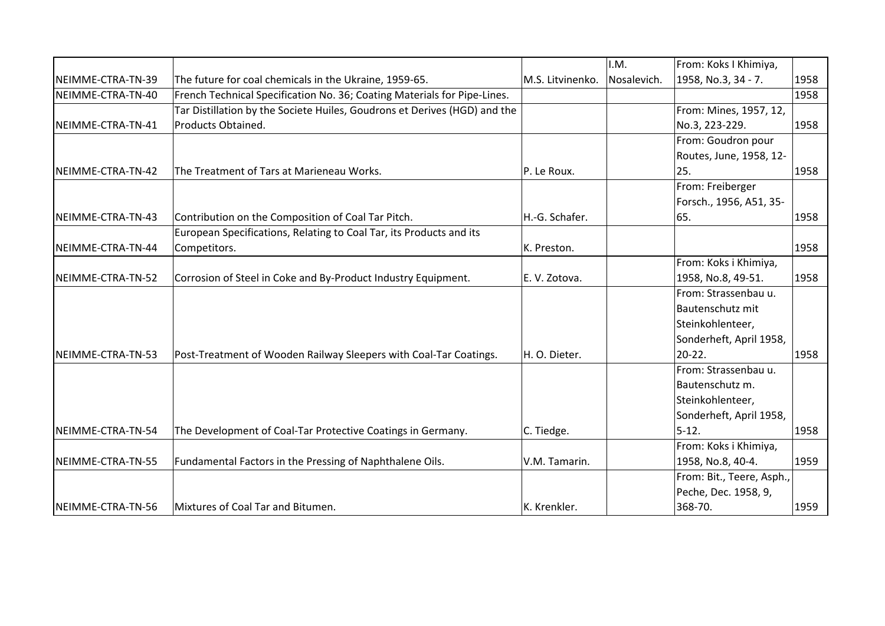|                   |                                                                           |                  | I.M.        | From: Koks I Khimiya,     |      |
|-------------------|---------------------------------------------------------------------------|------------------|-------------|---------------------------|------|
| NEIMME-CTRA-TN-39 | The future for coal chemicals in the Ukraine, 1959-65.                    | M.S. Litvinenko. | Nosalevich. | 1958, No.3, 34 - 7.       | 1958 |
| NEIMME-CTRA-TN-40 | French Technical Specification No. 36; Coating Materials for Pipe-Lines.  |                  |             |                           | 1958 |
|                   | Tar Distillation by the Societe Huiles, Goudrons et Derives (HGD) and the |                  |             | From: Mines, 1957, 12,    |      |
| NEIMME-CTRA-TN-41 | Products Obtained.                                                        |                  |             | No.3, 223-229.            | 1958 |
|                   |                                                                           |                  |             | From: Goudron pour        |      |
|                   |                                                                           |                  |             | Routes, June, 1958, 12-   |      |
| NEIMME-CTRA-TN-42 | The Treatment of Tars at Marieneau Works.                                 | P. Le Roux.      |             | 25.                       | 1958 |
|                   |                                                                           |                  |             | From: Freiberger          |      |
|                   |                                                                           |                  |             | Forsch., 1956, A51, 35-   |      |
| NEIMME-CTRA-TN-43 | Contribution on the Composition of Coal Tar Pitch.                        | H.-G. Schafer.   |             | 65.                       | 1958 |
|                   | European Specifications, Relating to Coal Tar, its Products and its       |                  |             |                           |      |
| NEIMME-CTRA-TN-44 | Competitors.                                                              | K. Preston.      |             |                           | 1958 |
|                   |                                                                           |                  |             | From: Koks i Khimiya,     |      |
| NEIMME-CTRA-TN-52 | Corrosion of Steel in Coke and By-Product Industry Equipment.             | E.V. Zotova.     |             | 1958, No.8, 49-51.        | 1958 |
|                   |                                                                           |                  |             | From: Strassenbau u.      |      |
|                   |                                                                           |                  |             | Bautenschutz mit          |      |
|                   |                                                                           |                  |             | Steinkohlenteer,          |      |
|                   |                                                                           |                  |             | Sonderheft, April 1958,   |      |
| NEIMME-CTRA-TN-53 | Post-Treatment of Wooden Railway Sleepers with Coal-Tar Coatings.         | H. O. Dieter.    |             | $20 - 22$ .               | 1958 |
|                   |                                                                           |                  |             | From: Strassenbau u.      |      |
|                   |                                                                           |                  |             | Bautenschutz m.           |      |
|                   |                                                                           |                  |             | Steinkohlenteer,          |      |
|                   |                                                                           |                  |             | Sonderheft, April 1958,   |      |
| NEIMME-CTRA-TN-54 | The Development of Coal-Tar Protective Coatings in Germany.               | C. Tiedge.       |             | $5 - 12.$                 | 1958 |
|                   |                                                                           |                  |             | From: Koks i Khimiya,     |      |
| NEIMME-CTRA-TN-55 | Fundamental Factors in the Pressing of Naphthalene Oils.                  | V.M. Tamarin.    |             | 1958, No.8, 40-4.         | 1959 |
|                   |                                                                           |                  |             | From: Bit., Teere, Asph., |      |
|                   |                                                                           |                  |             | Peche, Dec. 1958, 9,      |      |
| NEIMME-CTRA-TN-56 | Mixtures of Coal Tar and Bitumen.                                         | K. Krenkler.     |             | 368-70.                   | 1959 |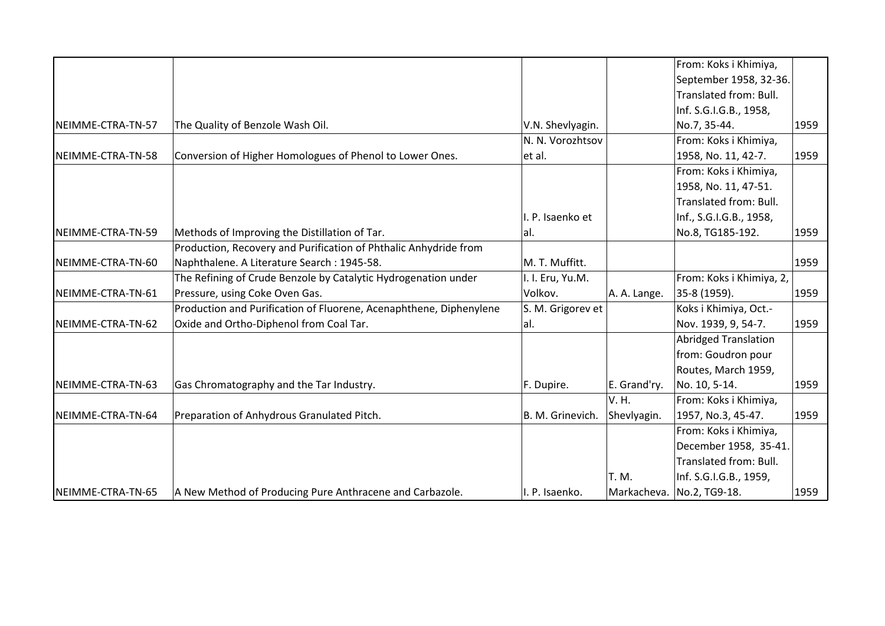|                   |                                                                    |                   |              | From: Koks i Khimiya,       |      |
|-------------------|--------------------------------------------------------------------|-------------------|--------------|-----------------------------|------|
|                   |                                                                    |                   |              | September 1958, 32-36.      |      |
|                   |                                                                    |                   |              | Translated from: Bull.      |      |
|                   |                                                                    |                   |              | Inf. S.G.I.G.B., 1958,      |      |
| NEIMME-CTRA-TN-57 | The Quality of Benzole Wash Oil.                                   | V.N. Shevlyagin.  |              | No.7, 35-44.                | 1959 |
|                   |                                                                    | N. N. Vorozhtsov  |              | From: Koks i Khimiya,       |      |
| NEIMME-CTRA-TN-58 | Conversion of Higher Homologues of Phenol to Lower Ones.           | et al.            |              | 1958, No. 11, 42-7.         | 1959 |
|                   |                                                                    |                   |              | From: Koks i Khimiya,       |      |
|                   |                                                                    |                   |              | 1958, No. 11, 47-51.        |      |
|                   |                                                                    |                   |              | Translated from: Bull.      |      |
|                   |                                                                    | I. P. Isaenko et  |              | Inf., S.G.I.G.B., 1958,     |      |
| NEIMME-CTRA-TN-59 | Methods of Improving the Distillation of Tar.                      | al.               |              | No.8, TG185-192.            | 1959 |
|                   | Production, Recovery and Purification of Phthalic Anhydride from   |                   |              |                             |      |
| NEIMME-CTRA-TN-60 | Naphthalene. A Literature Search: 1945-58.                         | M. T. Muffitt.    |              |                             | 1959 |
|                   | The Refining of Crude Benzole by Catalytic Hydrogenation under     | I. I. Eru, Yu.M.  |              | From: Koks i Khimiya, 2,    |      |
| NEIMME-CTRA-TN-61 | Pressure, using Coke Oven Gas.                                     | Volkov.           | A. A. Lange. | 35-8 (1959).                | 1959 |
|                   | Production and Purification of Fluorene, Acenaphthene, Diphenylene | S. M. Grigorev et |              | Koks i Khimiya, Oct.-       |      |
| NEIMME-CTRA-TN-62 | Oxide and Ortho-Diphenol from Coal Tar.                            | al.               |              | Nov. 1939, 9, 54-7.         | 1959 |
|                   |                                                                    |                   |              | <b>Abridged Translation</b> |      |
|                   |                                                                    |                   |              | from: Goudron pour          |      |
|                   |                                                                    |                   |              | Routes, March 1959,         |      |
| NEIMME-CTRA-TN-63 | Gas Chromatography and the Tar Industry.                           | F. Dupire.        | E. Grand'ry. | No. 10, 5-14.               | 1959 |
|                   |                                                                    |                   | V. H.        | From: Koks i Khimiya,       |      |
| NEIMME-CTRA-TN-64 | Preparation of Anhydrous Granulated Pitch.                         | B. M. Grinevich.  | Shevlyagin.  | 1957, No.3, 45-47.          | 1959 |
|                   |                                                                    |                   |              | From: Koks i Khimiya,       |      |
|                   |                                                                    |                   |              | December 1958, 35-41.       |      |
|                   |                                                                    |                   |              | Translated from: Bull.      |      |
|                   |                                                                    |                   | T. M.        | Inf. S.G.I.G.B., 1959,      |      |
| NEIMME-CTRA-TN-65 | A New Method of Producing Pure Anthracene and Carbazole.           | I. P. Isaenko.    |              | Markacheva.   No.2, TG9-18. | 1959 |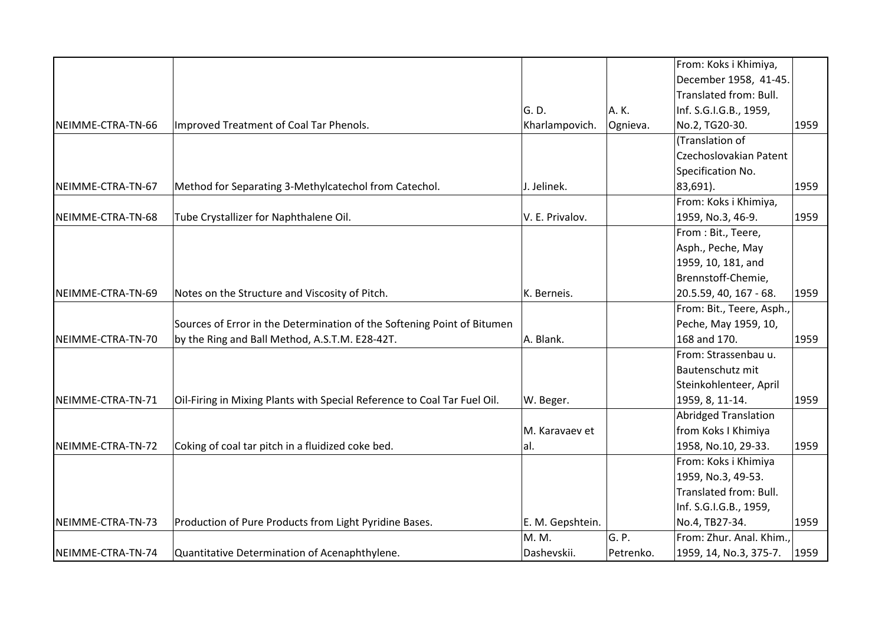|                   |                                                                          |                  |           | From: Koks i Khimiya,       |      |
|-------------------|--------------------------------------------------------------------------|------------------|-----------|-----------------------------|------|
|                   |                                                                          |                  |           | December 1958, 41-45.       |      |
|                   |                                                                          |                  |           | Translated from: Bull.      |      |
|                   |                                                                          | G. D.            | A.K.      | Inf. S.G.I.G.B., 1959,      |      |
| NEIMME-CTRA-TN-66 | Improved Treatment of Coal Tar Phenols.                                  | Kharlampovich.   | Ognieva.  | No.2, TG20-30.              | 1959 |
|                   |                                                                          |                  |           | (Translation of             |      |
|                   |                                                                          |                  |           | Czechoslovakian Patent      |      |
|                   |                                                                          |                  |           | Specification No.           |      |
| NEIMME-CTRA-TN-67 | Method for Separating 3-Methylcatechol from Catechol.                    | J. Jelinek.      |           | 83,691).                    | 1959 |
|                   |                                                                          |                  |           | From: Koks i Khimiya,       |      |
| NEIMME-CTRA-TN-68 | Tube Crystallizer for Naphthalene Oil.                                   | V. E. Privalov.  |           | 1959, No.3, 46-9.           | 1959 |
|                   |                                                                          |                  |           | From: Bit., Teere,          |      |
|                   |                                                                          |                  |           | Asph., Peche, May           |      |
|                   |                                                                          |                  |           | 1959, 10, 181, and          |      |
|                   |                                                                          |                  |           | Brennstoff-Chemie,          |      |
| NEIMME-CTRA-TN-69 | Notes on the Structure and Viscosity of Pitch.                           | K. Berneis.      |           | 20.5.59, 40, 167 - 68.      | 1959 |
|                   |                                                                          |                  |           | From: Bit., Teere, Asph.,   |      |
|                   | Sources of Error in the Determination of the Softening Point of Bitumen  |                  |           | Peche, May 1959, 10,        |      |
| NEIMME-CTRA-TN-70 | by the Ring and Ball Method, A.S.T.M. E28-42T.                           | A. Blank.        |           | 168 and 170.                | 1959 |
|                   |                                                                          |                  |           | From: Strassenbau u.        |      |
|                   |                                                                          |                  |           | Bautenschutz mit            |      |
|                   |                                                                          |                  |           | Steinkohlenteer, April      |      |
| NEIMME-CTRA-TN-71 | Oil-Firing in Mixing Plants with Special Reference to Coal Tar Fuel Oil. | W. Beger.        |           | 1959, 8, 11-14.             | 1959 |
|                   |                                                                          |                  |           | <b>Abridged Translation</b> |      |
|                   |                                                                          | M. Karavaev et   |           | from Koks I Khimiya         |      |
| NEIMME-CTRA-TN-72 | Coking of coal tar pitch in a fluidized coke bed.                        | al.              |           | 1958, No.10, 29-33.         | 1959 |
|                   |                                                                          |                  |           | From: Koks i Khimiya        |      |
|                   |                                                                          |                  |           | 1959, No.3, 49-53.          |      |
|                   |                                                                          |                  |           | Translated from: Bull.      |      |
|                   |                                                                          |                  |           | Inf. S.G.I.G.B., 1959,      |      |
| NEIMME-CTRA-TN-73 | Production of Pure Products from Light Pyridine Bases.                   | E. M. Gepshtein. |           | No.4, TB27-34.              | 1959 |
|                   |                                                                          | M. M.            | G. P.     | From: Zhur. Anal. Khim.,    |      |
| NEIMME-CTRA-TN-74 | Quantitative Determination of Acenaphthylene.                            | Dashevskii.      | Petrenko. | 1959, 14, No.3, 375-7.      | 1959 |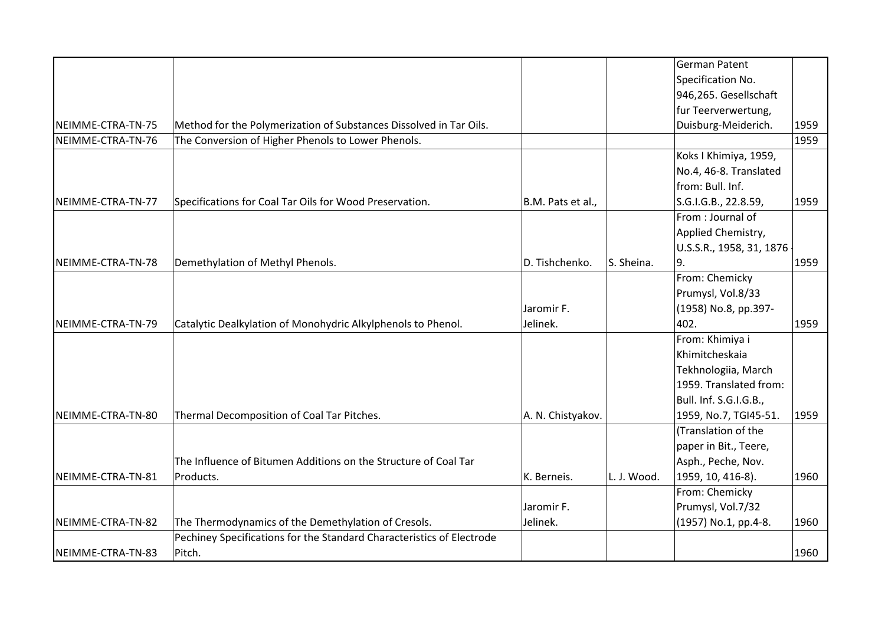|                   |                                                                       |                   |             | German Patent            |      |
|-------------------|-----------------------------------------------------------------------|-------------------|-------------|--------------------------|------|
|                   |                                                                       |                   |             | Specification No.        |      |
|                   |                                                                       |                   |             | 946,265. Gesellschaft    |      |
|                   |                                                                       |                   |             | fur Teerverwertung,      |      |
| NEIMME-CTRA-TN-75 | Method for the Polymerization of Substances Dissolved in Tar Oils.    |                   |             | Duisburg-Meiderich.      | 1959 |
| NEIMME-CTRA-TN-76 | The Conversion of Higher Phenols to Lower Phenols.                    |                   |             |                          | 1959 |
|                   |                                                                       |                   |             | Koks I Khimiya, 1959,    |      |
|                   |                                                                       |                   |             | No.4, 46-8. Translated   |      |
|                   |                                                                       |                   |             | from: Bull. Inf.         |      |
| NEIMME-CTRA-TN-77 | Specifications for Coal Tar Oils for Wood Preservation.               | B.M. Pats et al., |             | S.G.I.G.B., 22.8.59,     | 1959 |
|                   |                                                                       |                   |             | From: Journal of         |      |
|                   |                                                                       |                   |             | Applied Chemistry,       |      |
|                   |                                                                       |                   |             | U.S.S.R., 1958, 31, 1876 |      |
| NEIMME-CTRA-TN-78 | Demethylation of Methyl Phenols.                                      | D. Tishchenko.    | S. Sheina.  | 9.                       | 1959 |
|                   |                                                                       |                   |             | From: Chemicky           |      |
|                   |                                                                       |                   |             | Prumysl, Vol.8/33        |      |
|                   |                                                                       | Jaromir F.        |             | (1958) No.8, pp.397-     |      |
| NEIMME-CTRA-TN-79 | Catalytic Dealkylation of Monohydric Alkylphenols to Phenol.          | Jelinek.          |             | 402.                     | 1959 |
|                   |                                                                       |                   |             | From: Khimiya i          |      |
|                   |                                                                       |                   |             | Khimitcheskaia           |      |
|                   |                                                                       |                   |             | Tekhnologiia, March      |      |
|                   |                                                                       |                   |             | 1959. Translated from:   |      |
|                   |                                                                       |                   |             | Bull. Inf. S.G.I.G.B.,   |      |
| NEIMME-CTRA-TN-80 | Thermal Decomposition of Coal Tar Pitches.                            | A. N. Chistyakov. |             | 1959, No.7, TGI45-51.    | 1959 |
|                   |                                                                       |                   |             | (Translation of the      |      |
|                   |                                                                       |                   |             | paper in Bit., Teere,    |      |
|                   | The Influence of Bitumen Additions on the Structure of Coal Tar       |                   |             | Asph., Peche, Nov.       |      |
| NEIMME-CTRA-TN-81 | Products.                                                             | K. Berneis.       | L. J. Wood. | 1959, 10, 416-8).        | 1960 |
|                   |                                                                       |                   |             | From: Chemicky           |      |
|                   |                                                                       | Jaromir F.        |             | Prumysl, Vol.7/32        |      |
| NEIMME-CTRA-TN-82 | The Thermodynamics of the Demethylation of Cresols.                   | Jelinek.          |             | (1957) No.1, pp.4-8.     | 1960 |
|                   | Pechiney Specifications for the Standard Characteristics of Electrode |                   |             |                          |      |
| NEIMME-CTRA-TN-83 | Pitch.                                                                |                   |             |                          | 1960 |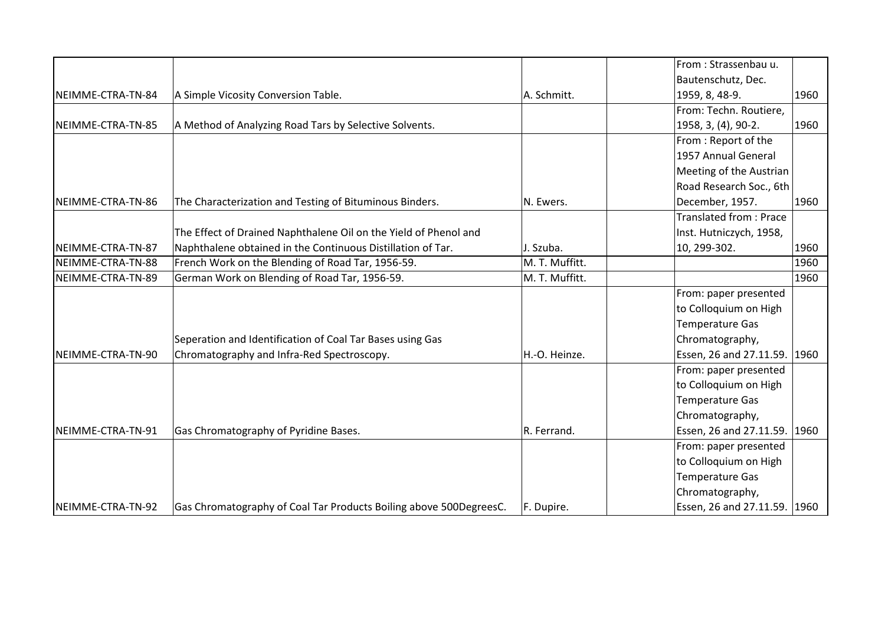|                   |                                                                    |                | From: Strassenbau u.          |      |
|-------------------|--------------------------------------------------------------------|----------------|-------------------------------|------|
|                   |                                                                    |                | Bautenschutz, Dec.            |      |
| NEIMME-CTRA-TN-84 | A Simple Vicosity Conversion Table.                                | A. Schmitt.    | 1959, 8, 48-9.                | 1960 |
|                   |                                                                    |                | From: Techn. Routiere,        |      |
| NEIMME-CTRA-TN-85 | A Method of Analyzing Road Tars by Selective Solvents.             |                | 1958, 3, (4), 90-2.           | 1960 |
|                   |                                                                    |                | From: Report of the           |      |
|                   |                                                                    |                | 1957 Annual General           |      |
|                   |                                                                    |                | Meeting of the Austrian       |      |
|                   |                                                                    |                | Road Research Soc., 6th       |      |
| NEIMME-CTRA-TN-86 | The Characterization and Testing of Bituminous Binders.            | N. Ewers.      | December, 1957.               | 1960 |
|                   |                                                                    |                | <b>Translated from: Prace</b> |      |
|                   | The Effect of Drained Naphthalene Oil on the Yield of Phenol and   |                | Inst. Hutniczych, 1958,       |      |
| NEIMME-CTRA-TN-87 | Naphthalene obtained in the Continuous Distillation of Tar.        | J. Szuba.      | 10, 299-302.                  | 1960 |
| NEIMME-CTRA-TN-88 | French Work on the Blending of Road Tar, 1956-59.                  | M. T. Muffitt. |                               | 1960 |
| NEIMME-CTRA-TN-89 | German Work on Blending of Road Tar, 1956-59.                      | M. T. Muffitt. |                               | 1960 |
|                   |                                                                    |                | From: paper presented         |      |
|                   |                                                                    |                | to Colloquium on High         |      |
|                   |                                                                    |                | <b>Temperature Gas</b>        |      |
|                   | Seperation and Identification of Coal Tar Bases using Gas          |                | Chromatography,               |      |
| NEIMME-CTRA-TN-90 | Chromatography and Infra-Red Spectroscopy.                         | H.-O. Heinze.  | Essen, 26 and 27.11.59. 1960  |      |
|                   |                                                                    |                | From: paper presented         |      |
|                   |                                                                    |                | to Colloquium on High         |      |
|                   |                                                                    |                | <b>Temperature Gas</b>        |      |
|                   |                                                                    |                | Chromatography,               |      |
| NEIMME-CTRA-TN-91 | Gas Chromatography of Pyridine Bases.                              | R. Ferrand.    | Essen, 26 and 27.11.59. 1960  |      |
|                   |                                                                    |                | From: paper presented         |      |
|                   |                                                                    |                | to Colloquium on High         |      |
|                   |                                                                    |                | <b>Temperature Gas</b>        |      |
|                   |                                                                    |                | Chromatography,               |      |
| NEIMME-CTRA-TN-92 | Gas Chromatography of Coal Tar Products Boiling above 500DegreesC. | F. Dupire.     | Essen, 26 and 27.11.59. 1960  |      |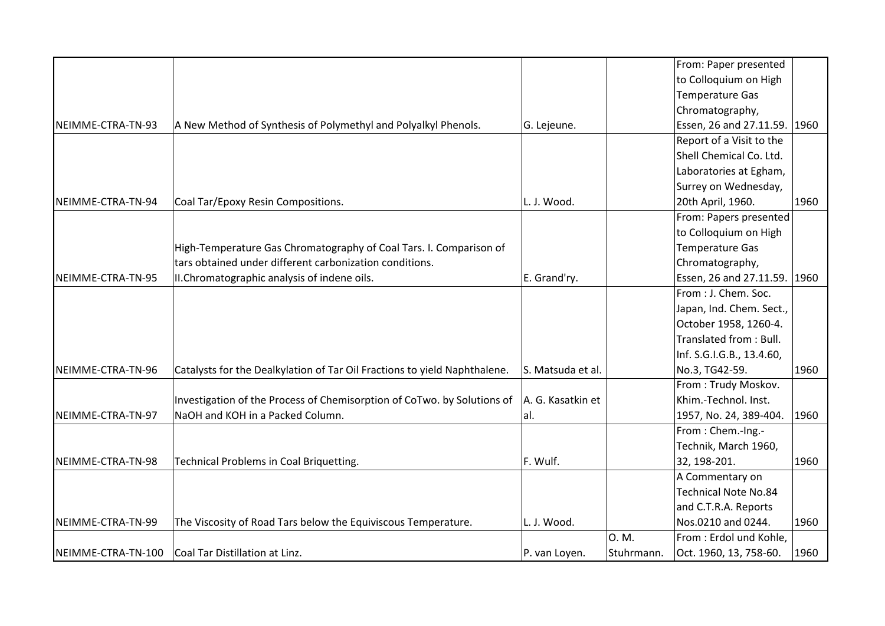|                    |                                                                           |                   |            | From: Paper presented        |      |
|--------------------|---------------------------------------------------------------------------|-------------------|------------|------------------------------|------|
|                    |                                                                           |                   |            | to Colloquium on High        |      |
|                    |                                                                           |                   |            | Temperature Gas              |      |
|                    |                                                                           |                   |            | Chromatography,              |      |
| NEIMME-CTRA-TN-93  | A New Method of Synthesis of Polymethyl and Polyalkyl Phenols.            | G. Lejeune.       |            | Essen, 26 and 27.11.59.      | 1960 |
|                    |                                                                           |                   |            | Report of a Visit to the     |      |
|                    |                                                                           |                   |            | Shell Chemical Co. Ltd.      |      |
|                    |                                                                           |                   |            | Laboratories at Egham,       |      |
|                    |                                                                           |                   |            | Surrey on Wednesday,         |      |
| NEIMME-CTRA-TN-94  | Coal Tar/Epoxy Resin Compositions.                                        | L. J. Wood.       |            | 20th April, 1960.            | 1960 |
|                    |                                                                           |                   |            | From: Papers presented       |      |
|                    |                                                                           |                   |            | to Colloquium on High        |      |
|                    | High-Temperature Gas Chromatography of Coal Tars. I. Comparison of        |                   |            | Temperature Gas              |      |
|                    | tars obtained under different carbonization conditions.                   |                   |            | Chromatography,              |      |
| NEIMME-CTRA-TN-95  | II.Chromatographic analysis of indene oils.                               | E. Grand'ry.      |            | Essen, 26 and 27.11.59. 1960 |      |
|                    |                                                                           |                   |            | From : J. Chem. Soc.         |      |
|                    |                                                                           |                   |            | Japan, Ind. Chem. Sect.,     |      |
|                    |                                                                           |                   |            | October 1958, 1260-4.        |      |
|                    |                                                                           |                   |            | Translated from: Bull.       |      |
|                    |                                                                           |                   |            | Inf. S.G.I.G.B., 13.4.60,    |      |
| NEIMME-CTRA-TN-96  | Catalysts for the Dealkylation of Tar Oil Fractions to yield Naphthalene. | S. Matsuda et al. |            | No.3, TG42-59.               | 1960 |
|                    |                                                                           |                   |            | From: Trudy Moskov.          |      |
|                    | Investigation of the Process of Chemisorption of CoTwo. by Solutions of   | A. G. Kasatkin et |            | Khim.-Technol. Inst.         |      |
| NEIMME-CTRA-TN-97  | NaOH and KOH in a Packed Column.                                          | al.               |            | 1957, No. 24, 389-404.       | 1960 |
|                    |                                                                           |                   |            | From: Chem.-Ing.-            |      |
|                    |                                                                           |                   |            | Technik, March 1960,         |      |
| NEIMME-CTRA-TN-98  | Technical Problems in Coal Briquetting.                                   | F. Wulf.          |            | 32, 198-201.                 | 1960 |
|                    |                                                                           |                   |            | A Commentary on              |      |
|                    |                                                                           |                   |            | <b>Technical Note No.84</b>  |      |
|                    |                                                                           |                   |            | and C.T.R.A. Reports         |      |
| NEIMME-CTRA-TN-99  | The Viscosity of Road Tars below the Equiviscous Temperature.             | L. J. Wood.       |            | Nos.0210 and 0244.           | 1960 |
|                    |                                                                           |                   | 0. M.      | From: Erdol und Kohle,       |      |
| NEIMME-CTRA-TN-100 | Coal Tar Distillation at Linz.                                            | P. van Loyen.     | Stuhrmann. | Oct. 1960, 13, 758-60.       | 1960 |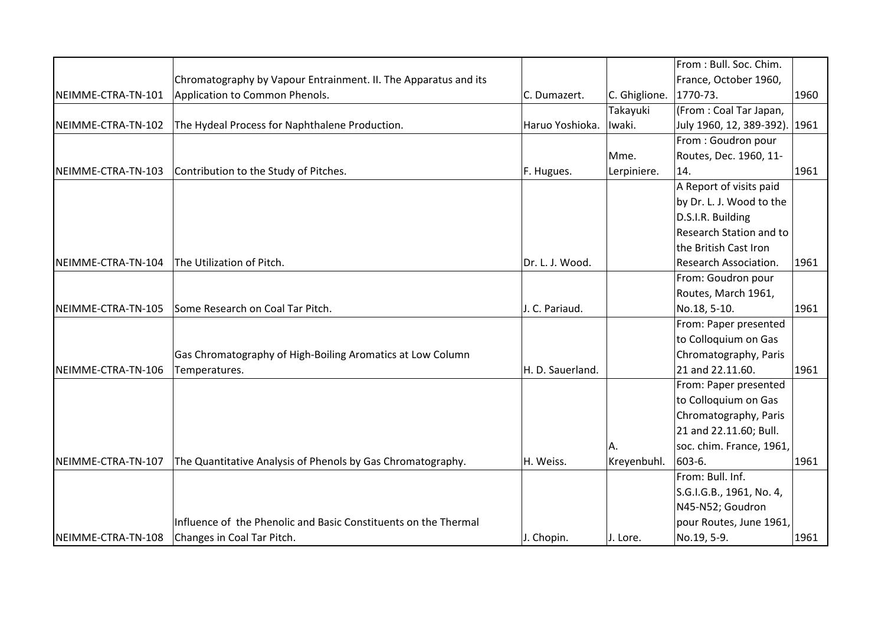|                    |                                                                 |                  |               | From: Bull. Soc. Chim.         |      |
|--------------------|-----------------------------------------------------------------|------------------|---------------|--------------------------------|------|
|                    | Chromatography by Vapour Entrainment. II. The Apparatus and its |                  |               | France, October 1960,          |      |
| NEIMME-CTRA-TN-101 | Application to Common Phenols.                                  | C. Dumazert.     | C. Ghiglione. | $ 1770-73.$                    | 1960 |
|                    |                                                                 |                  | Takayuki      | (From: Coal Tar Japan,         |      |
| NEIMME-CTRA-TN-102 | The Hydeal Process for Naphthalene Production.                  | Haruo Yoshioka.  | Iwaki.        | July 1960, 12, 389-392). 1961  |      |
|                    |                                                                 |                  |               | From: Goudron pour             |      |
|                    |                                                                 |                  | Mme.          | Routes, Dec. 1960, 11-         |      |
| NEIMME-CTRA-TN-103 | Contribution to the Study of Pitches.                           | F. Hugues.       | Lerpiniere.   | 14.                            | 1961 |
|                    |                                                                 |                  |               | A Report of visits paid        |      |
|                    |                                                                 |                  |               | by Dr. L. J. Wood to the       |      |
|                    |                                                                 |                  |               | D.S.I.R. Building              |      |
|                    |                                                                 |                  |               | <b>Research Station and to</b> |      |
|                    |                                                                 |                  |               | the British Cast Iron          |      |
| NEIMME-CTRA-TN-104 | The Utilization of Pitch.                                       | Dr. L. J. Wood.  |               | <b>Research Association.</b>   | 1961 |
|                    |                                                                 |                  |               | From: Goudron pour             |      |
|                    |                                                                 |                  |               | Routes, March 1961,            |      |
| NEIMME-CTRA-TN-105 | Some Research on Coal Tar Pitch.                                | J. C. Pariaud.   |               | No.18, 5-10.                   | 1961 |
|                    |                                                                 |                  |               | From: Paper presented          |      |
|                    |                                                                 |                  |               | to Colloquium on Gas           |      |
|                    | Gas Chromatography of High-Boiling Aromatics at Low Column      |                  |               | Chromatography, Paris          |      |
| NEIMME-CTRA-TN-106 | Temperatures.                                                   | H. D. Sauerland. |               | 21 and 22.11.60.               | 1961 |
|                    |                                                                 |                  |               | From: Paper presented          |      |
|                    |                                                                 |                  |               | to Colloquium on Gas           |      |
|                    |                                                                 |                  |               | Chromatography, Paris          |      |
|                    |                                                                 |                  |               | 21 and 22.11.60; Bull.         |      |
|                    |                                                                 |                  | А.            | soc. chim. France, 1961,       |      |
| NEIMME-CTRA-TN-107 | The Quantitative Analysis of Phenols by Gas Chromatography.     | H. Weiss.        | Kreyenbuhl.   | 603-6.                         | 1961 |
|                    |                                                                 |                  |               | From: Bull. Inf.               |      |
|                    |                                                                 |                  |               | S.G.I.G.B., 1961, No. 4,       |      |
|                    |                                                                 |                  |               | N45-N52; Goudron               |      |
|                    | Influence of the Phenolic and Basic Constituents on the Thermal |                  |               | pour Routes, June 1961,        |      |
| NEIMME-CTRA-TN-108 | Changes in Coal Tar Pitch.                                      | J. Chopin.       | J. Lore.      | No.19, 5-9.                    | 1961 |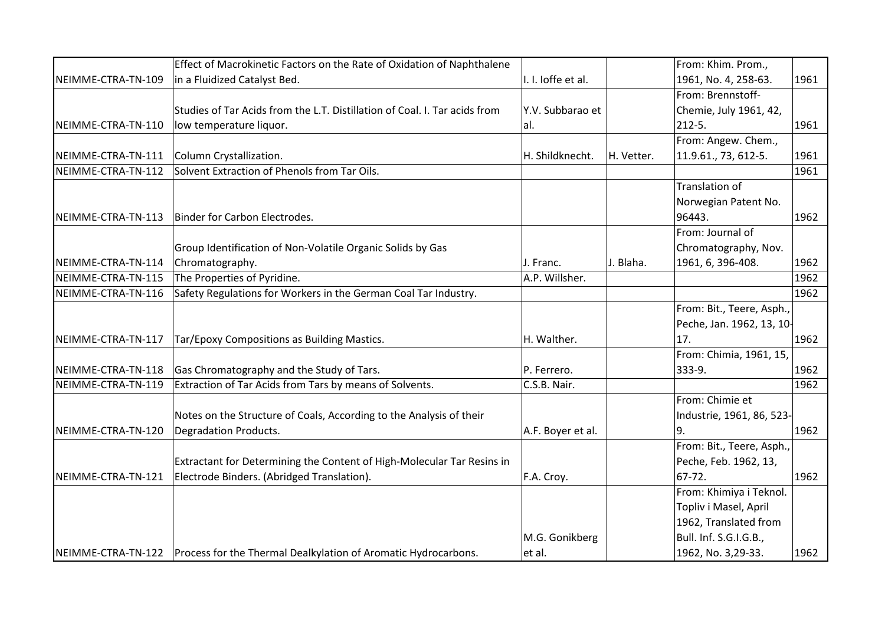|                    | Effect of Macrokinetic Factors on the Rate of Oxidation of Naphthalene            |                    |            | From: Khim. Prom.,        |      |
|--------------------|-----------------------------------------------------------------------------------|--------------------|------------|---------------------------|------|
| NEIMME-CTRA-TN-109 | in a Fluidized Catalyst Bed.                                                      | I. I. loffe et al. |            | 1961, No. 4, 258-63.      | 1961 |
|                    |                                                                                   |                    |            | From: Brennstoff-         |      |
|                    | Studies of Tar Acids from the L.T. Distillation of Coal. I. Tar acids from        | Y.V. Subbarao et   |            | Chemie, July 1961, 42,    |      |
| NEIMME-CTRA-TN-110 | low temperature liquor.                                                           | lal.               |            | 212-5.                    | 1961 |
|                    |                                                                                   |                    |            | From: Angew. Chem.,       |      |
| NEIMME-CTRA-TN-111 | Column Crystallization.                                                           | H. Shildknecht.    | H. Vetter. | 11.9.61., 73, 612-5.      | 1961 |
| NEIMME-CTRA-TN-112 | Solvent Extraction of Phenols from Tar Oils.                                      |                    |            |                           | 1961 |
|                    |                                                                                   |                    |            | Translation of            |      |
|                    |                                                                                   |                    |            | Norwegian Patent No.      |      |
| NEIMME-CTRA-TN-113 | Binder for Carbon Electrodes.                                                     |                    |            | 96443.                    | 1962 |
|                    |                                                                                   |                    |            | From: Journal of          |      |
|                    | Group Identification of Non-Volatile Organic Solids by Gas                        |                    |            | Chromatography, Nov.      |      |
| NEIMME-CTRA-TN-114 | Chromatography.                                                                   | J. Franc.          | J. Blaha.  | 1961, 6, 396-408.         | 1962 |
| NEIMME-CTRA-TN-115 | The Properties of Pyridine.                                                       | A.P. Willsher.     |            |                           | 1962 |
| NEIMME-CTRA-TN-116 | Safety Regulations for Workers in the German Coal Tar Industry.                   |                    |            |                           | 1962 |
|                    |                                                                                   |                    |            | From: Bit., Teere, Asph., |      |
|                    |                                                                                   |                    |            | Peche, Jan. 1962, 13, 10- |      |
| NEIMME-CTRA-TN-117 | Tar/Epoxy Compositions as Building Mastics.                                       | H. Walther.        |            | 17.                       | 1962 |
|                    |                                                                                   |                    |            | From: Chimia, 1961, 15,   |      |
| NEIMME-CTRA-TN-118 | Gas Chromatography and the Study of Tars.                                         | P. Ferrero.        |            | 333-9.                    | 1962 |
| NEIMME-CTRA-TN-119 | Extraction of Tar Acids from Tars by means of Solvents.                           | C.S.B. Nair.       |            |                           | 1962 |
|                    |                                                                                   |                    |            | From: Chimie et           |      |
|                    | Notes on the Structure of Coals, According to the Analysis of their               |                    |            | Industrie, 1961, 86, 523- |      |
| NEIMME-CTRA-TN-120 | Degradation Products.                                                             | A.F. Boyer et al.  |            | ۱9.                       | 1962 |
|                    |                                                                                   |                    |            | From: Bit., Teere, Asph., |      |
|                    | Extractant for Determining the Content of High-Molecular Tar Resins in            |                    |            | Peche, Feb. 1962, 13,     |      |
| NEIMME-CTRA-TN-121 | Electrode Binders. (Abridged Translation).                                        | F.A. Croy.         |            | 67-72.                    | 1962 |
|                    |                                                                                   |                    |            | From: Khimiya i Teknol.   |      |
|                    |                                                                                   |                    |            | Topliv i Masel, April     |      |
|                    |                                                                                   |                    |            | 1962, Translated from     |      |
|                    |                                                                                   | M.G. Gonikberg     |            | Bull. Inf. S.G.I.G.B.,    |      |
|                    | NEIMME-CTRA-TN-122 Process for the Thermal Dealkylation of Aromatic Hydrocarbons. | et al.             |            | 1962, No. 3,29-33.        | 1962 |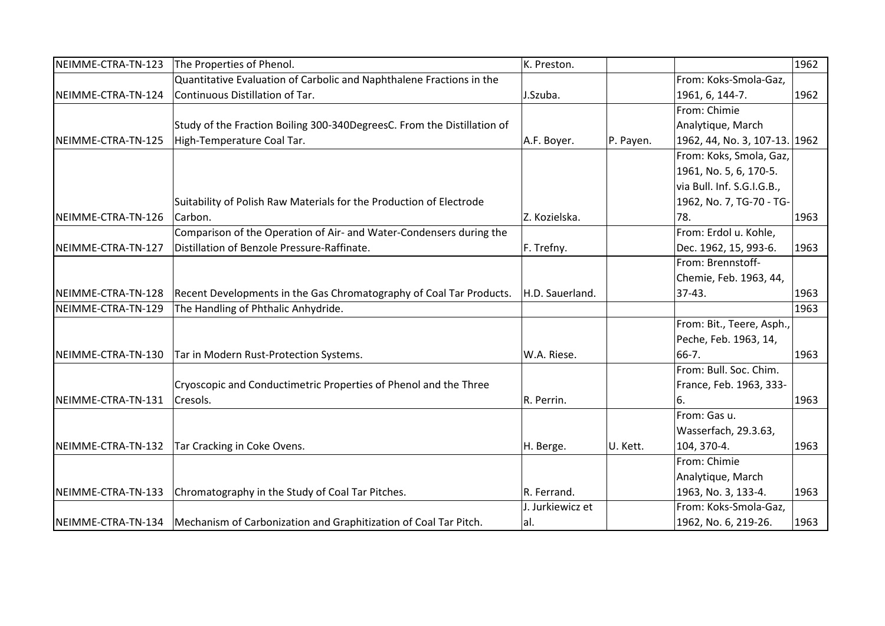| NEIMME-CTRA-TN-123 | The Properties of Phenol.                                                             | K. Preston.      |           |                               | 1962 |
|--------------------|---------------------------------------------------------------------------------------|------------------|-----------|-------------------------------|------|
|                    | Quantitative Evaluation of Carbolic and Naphthalene Fractions in the                  |                  |           | From: Koks-Smola-Gaz,         |      |
| NEIMME-CTRA-TN-124 | Continuous Distillation of Tar.                                                       | J.Szuba.         |           | 1961, 6, 144-7.               | 1962 |
|                    |                                                                                       |                  |           | From: Chimie                  |      |
|                    | Study of the Fraction Boiling 300-340DegreesC. From the Distillation of               |                  |           | Analytique, March             |      |
| NEIMME-CTRA-TN-125 | High-Temperature Coal Tar.                                                            | A.F. Boyer.      | P. Payen. | 1962, 44, No. 3, 107-13. 1962 |      |
|                    |                                                                                       |                  |           | From: Koks, Smola, Gaz,       |      |
|                    |                                                                                       |                  |           | 1961, No. 5, 6, 170-5.        |      |
|                    |                                                                                       |                  |           | via Bull. Inf. S.G.I.G.B.,    |      |
|                    | Suitability of Polish Raw Materials for the Production of Electrode                   |                  |           | 1962, No. 7, TG-70 - TG-      |      |
| NEIMME-CTRA-TN-126 | Carbon.                                                                               | Z. Kozielska.    |           | 78.                           | 1963 |
|                    | Comparison of the Operation of Air- and Water-Condensers during the                   |                  |           | From: Erdol u. Kohle,         |      |
| NEIMME-CTRA-TN-127 | Distillation of Benzole Pressure-Raffinate.                                           | F. Trefny.       |           | Dec. 1962, 15, 993-6.         | 1963 |
|                    |                                                                                       |                  |           | From: Brennstoff-             |      |
|                    |                                                                                       |                  |           | Chemie, Feb. 1963, 44,        |      |
| NEIMME-CTRA-TN-128 | Recent Developments in the Gas Chromatography of Coal Tar Products.                   | H.D. Sauerland.  |           | $37-43.$                      | 1963 |
| NEIMME-CTRA-TN-129 | The Handling of Phthalic Anhydride.                                                   |                  |           |                               | 1963 |
|                    |                                                                                       |                  |           | From: Bit., Teere, Asph.,     |      |
|                    |                                                                                       |                  |           | Peche, Feb. 1963, 14,         |      |
| NEIMME-CTRA-TN-130 | Tar in Modern Rust-Protection Systems.                                                | W.A. Riese.      |           | 66-7.                         | 1963 |
|                    |                                                                                       |                  |           | From: Bull. Soc. Chim.        |      |
|                    | Cryoscopic and Conductimetric Properties of Phenol and the Three                      |                  |           | France, Feb. 1963, 333-       |      |
| NEIMME-CTRA-TN-131 | Cresols.                                                                              | R. Perrin.       |           | 6.                            | 1963 |
|                    |                                                                                       |                  |           | From: Gas u.                  |      |
|                    |                                                                                       |                  |           | Wasserfach, 29.3.63,          |      |
| NEIMME-CTRA-TN-132 | Tar Cracking in Coke Ovens.                                                           | H. Berge.        | U. Kett.  | 104, 370-4.                   | 1963 |
|                    |                                                                                       |                  |           | From: Chimie                  |      |
|                    |                                                                                       |                  |           | Analytique, March             |      |
| NEIMME-CTRA-TN-133 | Chromatography in the Study of Coal Tar Pitches.                                      | R. Ferrand.      |           | 1963, No. 3, 133-4.           | 1963 |
|                    |                                                                                       | J. Jurkiewicz et |           | From: Koks-Smola-Gaz,         |      |
|                    | NEIMME-CTRA-TN-134   Mechanism of Carbonization and Graphitization of Coal Tar Pitch. | al.              |           | 1962, No. 6, 219-26.          | 1963 |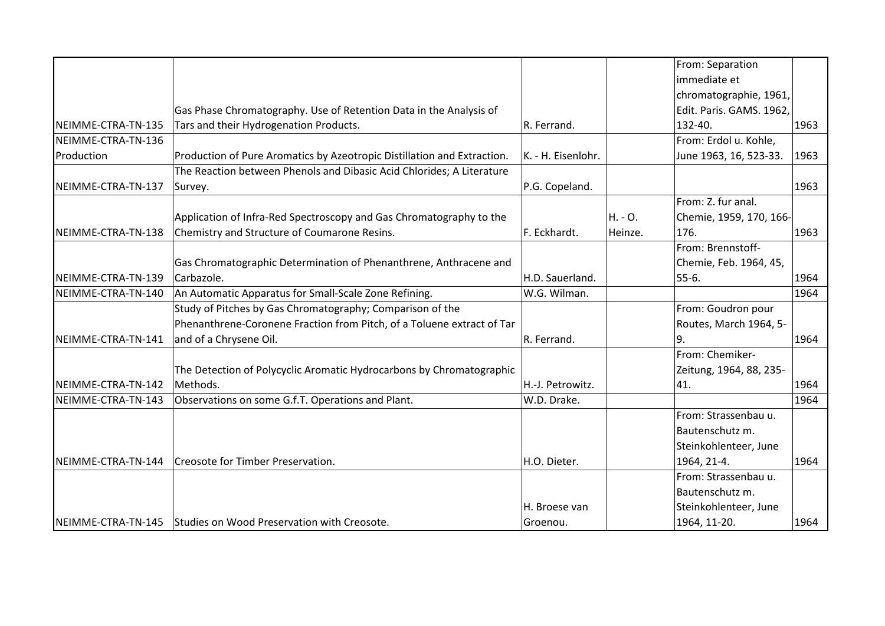|                    |                                                                         |                    |         | From: Separation         |      |
|--------------------|-------------------------------------------------------------------------|--------------------|---------|--------------------------|------|
|                    |                                                                         |                    |         | immediate et             |      |
|                    |                                                                         |                    |         | chromatographie, 1961,   |      |
|                    | Gas Phase Chromatography. Use of Retention Data in the Analysis of      |                    |         | Edit. Paris. GAMS. 1962, |      |
| NEIMME-CTRA-TN-135 | Tars and their Hydrogenation Products.                                  | R. Ferrand.        |         | 132-40.                  | 1963 |
| NEIMME-CTRA-TN-136 |                                                                         |                    |         | From: Erdol u. Kohle,    |      |
| Production         | Production of Pure Aromatics by Azeotropic Distillation and Extraction. | K. - H. Eisenlohr. |         | June 1963, 16, 523-33.   | 1963 |
|                    | The Reaction between Phenols and Dibasic Acid Chlorides; A Literature   |                    |         |                          |      |
| NEIMME-CTRA-TN-137 | Survey.                                                                 | P.G. Copeland.     |         |                          | 1963 |
|                    |                                                                         |                    |         | From: Z. fur anal.       |      |
|                    | Application of Infra-Red Spectroscopy and Gas Chromatography to the     |                    | H. - O. | Chemie, 1959, 170, 166-  |      |
| NEIMME-CTRA-TN-138 | Chemistry and Structure of Coumarone Resins.                            | F. Eckhardt.       | Heinze. | 176.                     | 1963 |
|                    |                                                                         |                    |         | From: Brennstoff-        |      |
|                    | Gas Chromatographic Determination of Phenanthrene, Anthracene and       |                    |         | Chemie, Feb. 1964, 45,   |      |
| NEIMME-CTRA-TN-139 | Carbazole.                                                              | H.D. Sauerland.    |         | 55-6.                    | 1964 |
| NEIMME-CTRA-TN-140 | An Automatic Apparatus for Small-Scale Zone Refining.                   | W.G. Wilman.       |         |                          | 1964 |
|                    | Study of Pitches by Gas Chromatography; Comparison of the               |                    |         | From: Goudron pour       |      |
|                    | Phenanthrene-Coronene Fraction from Pitch, of a Toluene extract of Tar  |                    |         | Routes, March 1964, 5-   |      |
| NEIMME-CTRA-TN-141 | and of a Chrysene Oil.                                                  | R. Ferrand.        |         | 19.                      | 1964 |
|                    |                                                                         |                    |         | From: Chemiker-          |      |
|                    | The Detection of Polycyclic Aromatic Hydrocarbons by Chromatographic    |                    |         | Zeitung, 1964, 88, 235-  |      |
| NEIMME-CTRA-TN-142 | Methods.                                                                | H.-J. Petrowitz.   |         | 41.                      | 1964 |
| NEIMME-CTRA-TN-143 | Observations on some G.f.T. Operations and Plant.                       | W.D. Drake.        |         |                          | 1964 |
|                    |                                                                         |                    |         | From: Strassenbau u.     |      |
|                    |                                                                         |                    |         | Bautenschutz m.          |      |
|                    |                                                                         |                    |         | Steinkohlenteer, June    |      |
| NEIMME-CTRA-TN-144 | Creosote for Timber Preservation.                                       | H.O. Dieter.       |         | 1964, 21-4.              | 1964 |
|                    |                                                                         |                    |         | From: Strassenbau u.     |      |
|                    |                                                                         |                    |         | Bautenschutz m.          |      |
|                    |                                                                         | H. Broese van      |         | Steinkohlenteer, June    |      |
|                    | NEIMME-CTRA-TN-145 Studies on Wood Preservation with Creosote.          | Groenou.           |         | 1964, 11-20.             | 1964 |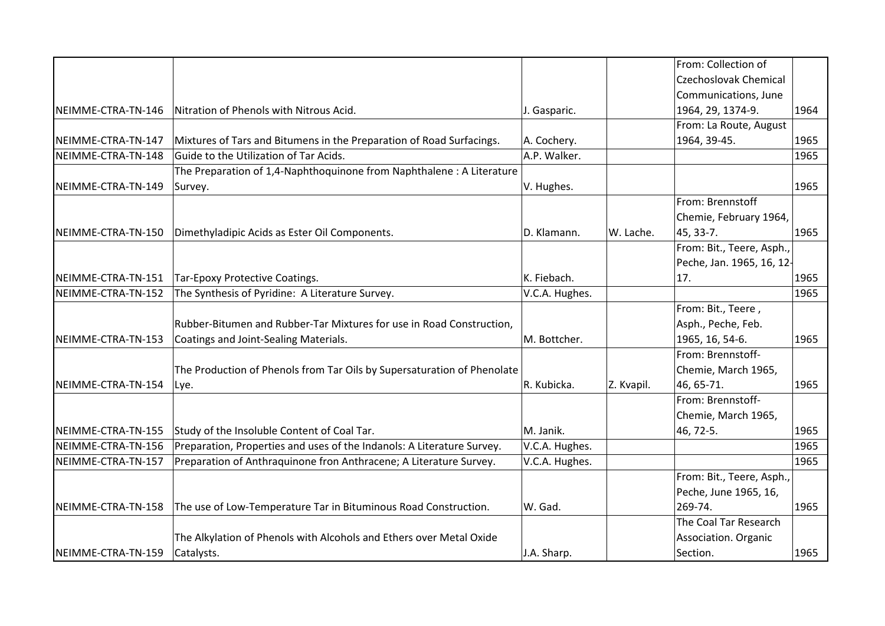|                    |                                                                         |                |            | From: Collection of          |      |
|--------------------|-------------------------------------------------------------------------|----------------|------------|------------------------------|------|
|                    |                                                                         |                |            | <b>Czechoslovak Chemical</b> |      |
|                    |                                                                         |                |            | Communications, June         |      |
| NEIMME-CTRA-TN-146 | Nitration of Phenols with Nitrous Acid.                                 | J. Gasparic.   |            | 1964, 29, 1374-9.            | 1964 |
|                    |                                                                         |                |            | From: La Route, August       |      |
| NEIMME-CTRA-TN-147 | Mixtures of Tars and Bitumens in the Preparation of Road Surfacings.    | A. Cochery.    |            | 1964, 39-45.                 | 1965 |
| NEIMME-CTRA-TN-148 | Guide to the Utilization of Tar Acids.                                  | A.P. Walker.   |            |                              | 1965 |
|                    | The Preparation of 1,4-Naphthoquinone from Naphthalene: A Literature    |                |            |                              |      |
| NEIMME-CTRA-TN-149 | Survey.                                                                 | V. Hughes.     |            |                              | 1965 |
|                    |                                                                         |                |            | From: Brennstoff             |      |
|                    |                                                                         |                |            | Chemie, February 1964,       |      |
| NEIMME-CTRA-TN-150 | Dimethyladipic Acids as Ester Oil Components.                           | D. Klamann.    | W. Lache.  | 45, 33-7.                    | 1965 |
|                    |                                                                         |                |            | From: Bit., Teere, Asph.,    |      |
|                    |                                                                         |                |            | Peche, Jan. 1965, 16, 12-    |      |
| NEIMME-CTRA-TN-151 | Tar-Epoxy Protective Coatings.                                          | K. Fiebach.    |            | 17.                          | 1965 |
| NEIMME-CTRA-TN-152 | The Synthesis of Pyridine: A Literature Survey.                         | V.C.A. Hughes. |            |                              | 1965 |
|                    |                                                                         |                |            | From: Bit., Teere,           |      |
|                    | Rubber-Bitumen and Rubber-Tar Mixtures for use in Road Construction,    |                |            | Asph., Peche, Feb.           |      |
| NEIMME-CTRA-TN-153 | Coatings and Joint-Sealing Materials.                                   | M. Bottcher.   |            | 1965, 16, 54-6.              | 1965 |
|                    |                                                                         |                |            | From: Brennstoff-            |      |
|                    | The Production of Phenols from Tar Oils by Supersaturation of Phenolate |                |            | Chemie, March 1965,          |      |
| NEIMME-CTRA-TN-154 | Lye.                                                                    | R. Kubicka.    | Z. Kvapil. | 46, 65-71.                   | 1965 |
|                    |                                                                         |                |            | From: Brennstoff-            |      |
|                    |                                                                         |                |            | Chemie, March 1965,          |      |
| NEIMME-CTRA-TN-155 | Study of the Insoluble Content of Coal Tar.                             | M. Janik.      |            | 46, 72-5.                    | 1965 |
| NEIMME-CTRA-TN-156 | Preparation, Properties and uses of the Indanols: A Literature Survey.  | V.C.A. Hughes. |            |                              | 1965 |
| NEIMME-CTRA-TN-157 | Preparation of Anthraquinone fron Anthracene; A Literature Survey.      | V.C.A. Hughes. |            |                              | 1965 |
|                    |                                                                         |                |            | From: Bit., Teere, Asph.,    |      |
|                    |                                                                         |                |            | Peche, June 1965, 16,        |      |
| NEIMME-CTRA-TN-158 | The use of Low-Temperature Tar in Bituminous Road Construction.         | W. Gad.        |            | 269-74.                      | 1965 |
|                    |                                                                         |                |            | The Coal Tar Research        |      |
|                    | The Alkylation of Phenols with Alcohols and Ethers over Metal Oxide     |                |            | Association. Organic         |      |
| NEIMME-CTRA-TN-159 | Catalysts.                                                              | J.A. Sharp.    |            | Section.                     | 1965 |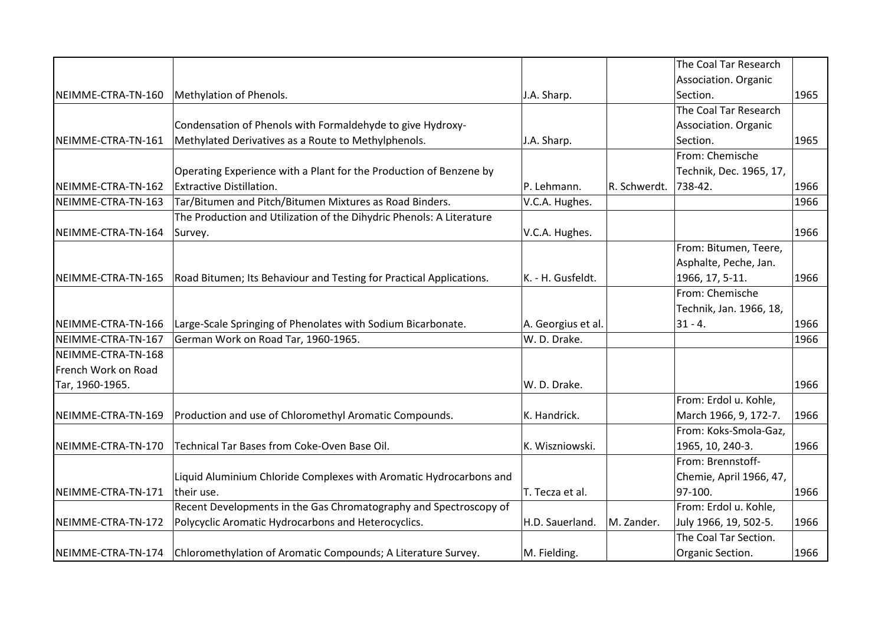|                     |                                                                      |                    |              | The Coal Tar Research   |      |
|---------------------|----------------------------------------------------------------------|--------------------|--------------|-------------------------|------|
|                     |                                                                      |                    |              | Association. Organic    |      |
| NEIMME-CTRA-TN-160  | Methylation of Phenols.                                              | J.A. Sharp.        |              | Section.                | 1965 |
|                     |                                                                      |                    |              | The Coal Tar Research   |      |
|                     | Condensation of Phenols with Formaldehyde to give Hydroxy-           |                    |              | Association. Organic    |      |
| NEIMME-CTRA-TN-161  | Methylated Derivatives as a Route to Methylphenols.                  | J.A. Sharp.        |              | Section.                | 1965 |
|                     |                                                                      |                    |              | From: Chemische         |      |
|                     | Operating Experience with a Plant for the Production of Benzene by   |                    |              | Technik, Dec. 1965, 17, |      |
| NEIMME-CTRA-TN-162  | <b>Extractive Distillation.</b>                                      | P. Lehmann.        | R. Schwerdt. | 738-42.                 | 1966 |
| NEIMME-CTRA-TN-163  | Tar/Bitumen and Pitch/Bitumen Mixtures as Road Binders.              | V.C.A. Hughes.     |              |                         | 1966 |
|                     | The Production and Utilization of the Dihydric Phenols: A Literature |                    |              |                         |      |
| NEIMME-CTRA-TN-164  | Survey.                                                              | V.C.A. Hughes.     |              |                         | 1966 |
|                     |                                                                      |                    |              | From: Bitumen, Teere,   |      |
|                     |                                                                      |                    |              | Asphalte, Peche, Jan.   |      |
| NEIMME-CTRA-TN-165  | Road Bitumen; Its Behaviour and Testing for Practical Applications.  | K. - H. Gusfeldt.  |              | 1966, 17, 5-11.         | 1966 |
|                     |                                                                      |                    |              | From: Chemische         |      |
|                     |                                                                      |                    |              | Technik, Jan. 1966, 18, |      |
| NEIMME-CTRA-TN-166  | Large-Scale Springing of Phenolates with Sodium Bicarbonate.         | A. Georgius et al. |              | $ 31 - 4 $              | 1966 |
| NEIMME-CTRA-TN-167  | German Work on Road Tar, 1960-1965.                                  | W. D. Drake.       |              |                         | 1966 |
| NEIMME-CTRA-TN-168  |                                                                      |                    |              |                         |      |
| French Work on Road |                                                                      |                    |              |                         |      |
| Tar, 1960-1965.     |                                                                      | W. D. Drake.       |              |                         | 1966 |
|                     |                                                                      |                    |              | From: Erdol u. Kohle,   |      |
| NEIMME-CTRA-TN-169  | Production and use of Chloromethyl Aromatic Compounds.               | K. Handrick.       |              | March 1966, 9, 172-7.   | 1966 |
|                     |                                                                      |                    |              | From: Koks-Smola-Gaz,   |      |
| NEIMME-CTRA-TN-170  | Technical Tar Bases from Coke-Oven Base Oil.                         | K. Wiszniowski.    |              | 1965, 10, 240-3.        | 1966 |
|                     |                                                                      |                    |              | From: Brennstoff-       |      |
|                     | Liquid Aluminium Chloride Complexes with Aromatic Hydrocarbons and   |                    |              | Chemie, April 1966, 47, |      |
| NEIMME-CTRA-TN-171  | their use.                                                           | T. Tecza et al.    |              | $97-100.$               | 1966 |
|                     | Recent Developments in the Gas Chromatography and Spectroscopy of    |                    |              | From: Erdol u. Kohle,   |      |
| NEIMME-CTRA-TN-172  | Polycyclic Aromatic Hydrocarbons and Heterocyclics.                  | H.D. Sauerland.    | M. Zander.   | July 1966, 19, 502-5.   | 1966 |
|                     |                                                                      |                    |              | The Coal Tar Section.   |      |
| NEIMME-CTRA-TN-174  | Chloromethylation of Aromatic Compounds; A Literature Survey.        | M. Fielding.       |              | Organic Section.        | 1966 |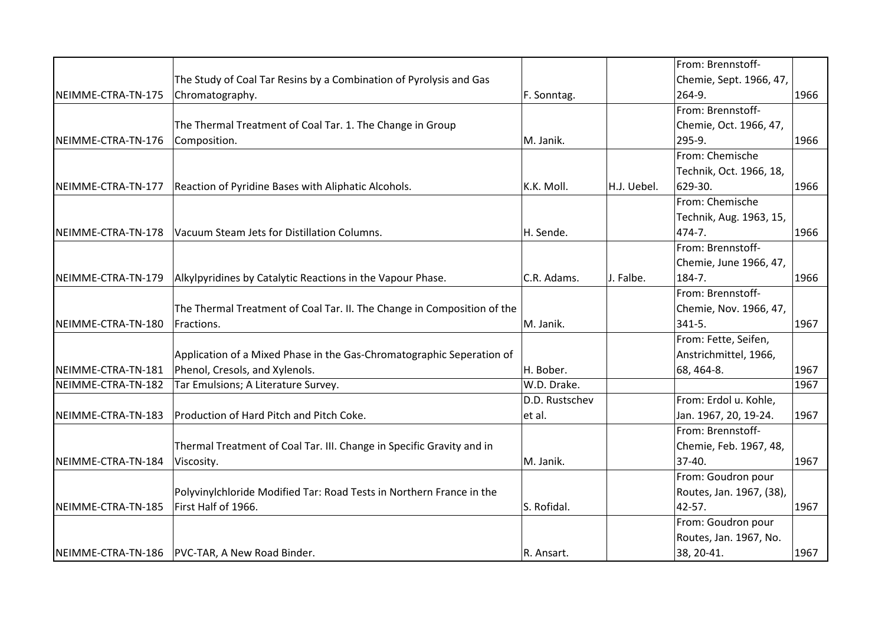|                    |                                                                         |                |             | From: Brennstoff-        |      |
|--------------------|-------------------------------------------------------------------------|----------------|-------------|--------------------------|------|
|                    | The Study of Coal Tar Resins by a Combination of Pyrolysis and Gas      |                |             | Chemie, Sept. 1966, 47,  |      |
| NEIMME-CTRA-TN-175 | Chromatography.                                                         | F. Sonntag.    |             | 264-9.                   | 1966 |
|                    |                                                                         |                |             | From: Brennstoff-        |      |
|                    | The Thermal Treatment of Coal Tar. 1. The Change in Group               |                |             | Chemie, Oct. 1966, 47,   |      |
| NEIMME-CTRA-TN-176 | Composition.                                                            | M. Janik.      |             | 295-9.                   | 1966 |
|                    |                                                                         |                |             | From: Chemische          |      |
|                    |                                                                         |                |             | Technik, Oct. 1966, 18,  |      |
| NEIMME-CTRA-TN-177 | Reaction of Pyridine Bases with Aliphatic Alcohols.                     | K.K. Moll.     | H.J. Uebel. | 629-30.                  | 1966 |
|                    |                                                                         |                |             | From: Chemische          |      |
|                    |                                                                         |                |             | Technik, Aug. 1963, 15,  |      |
| NEIMME-CTRA-TN-178 | Vacuum Steam Jets for Distillation Columns.                             | H. Sende.      |             | 474-7.                   | 1966 |
|                    |                                                                         |                |             | From: Brennstoff-        |      |
|                    |                                                                         |                |             | Chemie, June 1966, 47,   |      |
| NEIMME-CTRA-TN-179 | Alkylpyridines by Catalytic Reactions in the Vapour Phase.              | C.R. Adams.    | J. Falbe.   | 184-7.                   | 1966 |
|                    |                                                                         |                |             | From: Brennstoff-        |      |
|                    | The Thermal Treatment of Coal Tar. II. The Change in Composition of the |                |             | Chemie, Nov. 1966, 47,   |      |
| NEIMME-CTRA-TN-180 | Fractions.                                                              | M. Janik.      |             | $341 - 5.$               | 1967 |
|                    |                                                                         |                |             | From: Fette, Seifen,     |      |
|                    | Application of a Mixed Phase in the Gas-Chromatographic Seperation of   |                |             | Anstrichmittel, 1966,    |      |
| NEIMME-CTRA-TN-181 | Phenol, Cresols, and Xylenols.                                          | H. Bober.      |             | 68, 464-8.               | 1967 |
| NEIMME-CTRA-TN-182 | Tar Emulsions; A Literature Survey.                                     | W.D. Drake.    |             |                          | 1967 |
|                    |                                                                         | D.D. Rustschev |             | From: Erdol u. Kohle,    |      |
| NEIMME-CTRA-TN-183 | Production of Hard Pitch and Pitch Coke.                                | et al.         |             | Jan. 1967, 20, 19-24.    | 1967 |
|                    |                                                                         |                |             | From: Brennstoff-        |      |
|                    | Thermal Treatment of Coal Tar. III. Change in Specific Gravity and in   |                |             | Chemie, Feb. 1967, 48,   |      |
| NEIMME-CTRA-TN-184 | Viscosity.                                                              | M. Janik.      |             | 37-40.                   | 1967 |
|                    |                                                                         |                |             | From: Goudron pour       |      |
|                    | Polyvinylchloride Modified Tar: Road Tests in Northern France in the    |                |             | Routes, Jan. 1967, (38), |      |
| NEIMME-CTRA-TN-185 | First Half of 1966.                                                     | S. Rofidal.    |             | 42-57.                   | 1967 |
|                    |                                                                         |                |             | From: Goudron pour       |      |
|                    |                                                                         |                |             | Routes, Jan. 1967, No.   |      |
|                    | NEIMME-CTRA-TN-186   PVC-TAR, A New Road Binder.                        | R. Ansart.     |             | 38, 20-41.               | 1967 |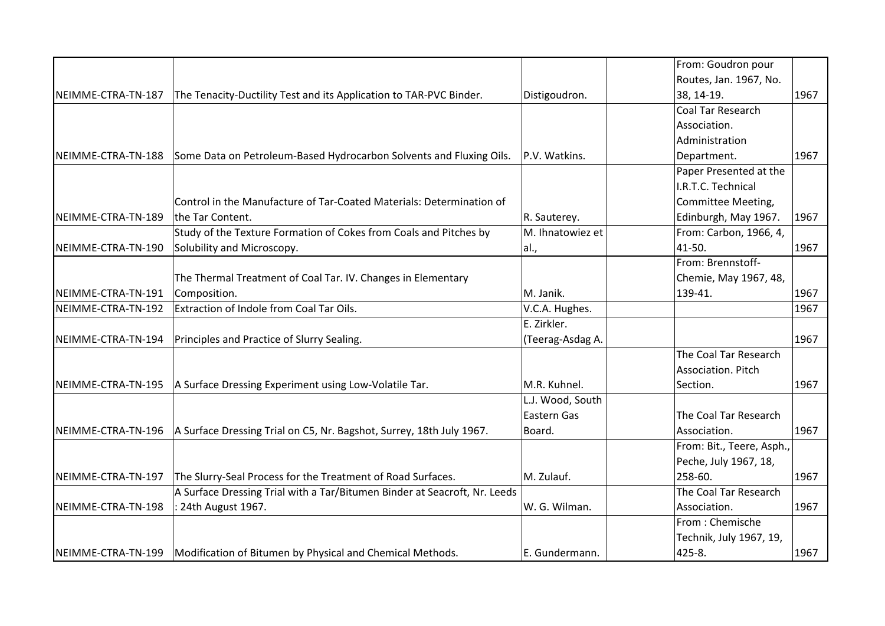|                    |                                                                                |                  | From: Goudron pour        |      |
|--------------------|--------------------------------------------------------------------------------|------------------|---------------------------|------|
|                    |                                                                                |                  | Routes, Jan. 1967, No.    |      |
| NEIMME-CTRA-TN-187 | The Tenacity-Ductility Test and its Application to TAR-PVC Binder.             | Distigoudron.    | 38, 14-19.                | 1967 |
|                    |                                                                                |                  | <b>Coal Tar Research</b>  |      |
|                    |                                                                                |                  | Association.              |      |
|                    |                                                                                |                  | Administration            |      |
| NEIMME-CTRA-TN-188 | Some Data on Petroleum-Based Hydrocarbon Solvents and Fluxing Oils.            | P.V. Watkins.    | Department.               | 1967 |
|                    |                                                                                |                  | Paper Presented at the    |      |
|                    |                                                                                |                  | I.R.T.C. Technical        |      |
|                    | Control in the Manufacture of Tar-Coated Materials: Determination of           |                  | Committee Meeting,        |      |
| NEIMME-CTRA-TN-189 | the Tar Content.                                                               | R. Sauterey.     | Edinburgh, May 1967.      | 1967 |
|                    | Study of the Texture Formation of Cokes from Coals and Pitches by              | M. Ihnatowiez et | From: Carbon, 1966, 4,    |      |
| NEIMME-CTRA-TN-190 | Solubility and Microscopy.                                                     | al.,             | 41-50.                    | 1967 |
|                    |                                                                                |                  | From: Brennstoff-         |      |
|                    | The Thermal Treatment of Coal Tar. IV. Changes in Elementary                   |                  | Chemie, May 1967, 48,     |      |
| NEIMME-CTRA-TN-191 | Composition.                                                                   | M. Janik.        | 139-41.                   | 1967 |
| NEIMME-CTRA-TN-192 | Extraction of Indole from Coal Tar Oils.                                       | V.C.A. Hughes.   |                           | 1967 |
|                    |                                                                                | E. Zirkler.      |                           |      |
| NEIMME-CTRA-TN-194 | Principles and Practice of Slurry Sealing.                                     | (Teerag-Asdag A. |                           | 1967 |
|                    |                                                                                |                  | The Coal Tar Research     |      |
|                    |                                                                                |                  | Association. Pitch        |      |
| NEIMME-CTRA-TN-195 | A Surface Dressing Experiment using Low-Volatile Tar.                          | M.R. Kuhnel.     | Section.                  | 1967 |
|                    |                                                                                | L.J. Wood, South |                           |      |
|                    |                                                                                | Eastern Gas      | The Coal Tar Research     |      |
| NEIMME-CTRA-TN-196 | A Surface Dressing Trial on C5, Nr. Bagshot, Surrey, 18th July 1967.           | Board.           | Association.              | 1967 |
|                    |                                                                                |                  | From: Bit., Teere, Asph., |      |
|                    |                                                                                |                  | Peche, July 1967, 18,     |      |
| NEIMME-CTRA-TN-197 | The Slurry-Seal Process for the Treatment of Road Surfaces.                    | M. Zulauf.       | 258-60.                   | 1967 |
|                    | A Surface Dressing Trial with a Tar/Bitumen Binder at Seacroft, Nr. Leeds      |                  | The Coal Tar Research     |      |
| NEIMME-CTRA-TN-198 | : 24th August 1967.                                                            | W. G. Wilman.    | Association.              | 1967 |
|                    |                                                                                |                  | From: Chemische           |      |
|                    |                                                                                |                  | Technik, July 1967, 19,   |      |
|                    | NEIMME-CTRA-TN-199   Modification of Bitumen by Physical and Chemical Methods. | E. Gundermann.   | 425-8.                    | 1967 |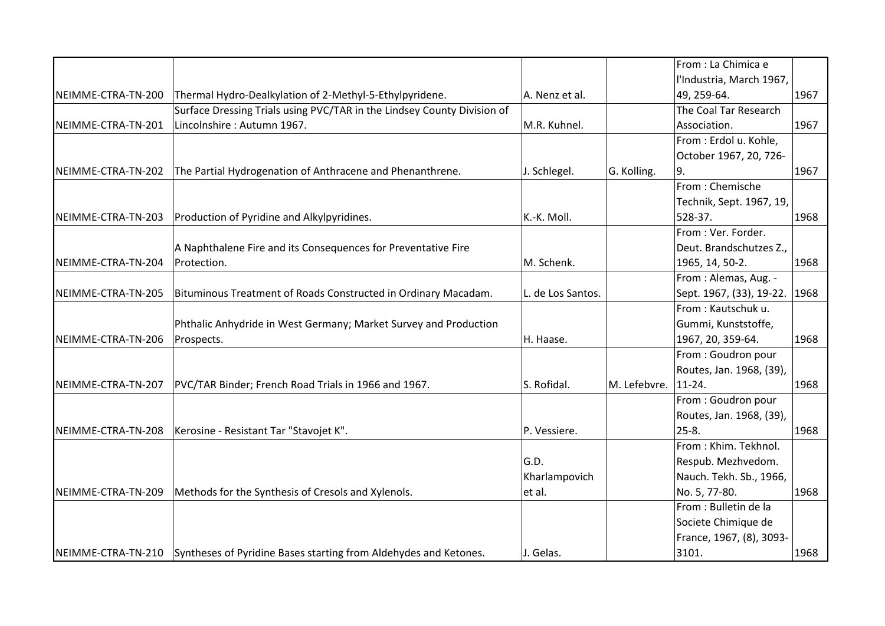|                    |                                                                                     |                   |                     | From : La Chimica e           |      |
|--------------------|-------------------------------------------------------------------------------------|-------------------|---------------------|-------------------------------|------|
|                    |                                                                                     |                   |                     | l'Industria, March 1967,      |      |
| NEIMME-CTRA-TN-200 | Thermal Hydro-Dealkylation of 2-Methyl-5-Ethylpyridene.                             | A. Nenz et al.    |                     | 49, 259-64.                   | 1967 |
|                    | Surface Dressing Trials using PVC/TAR in the Lindsey County Division of             |                   |                     | The Coal Tar Research         |      |
| NEIMME-CTRA-TN-201 | Lincolnshire: Autumn 1967.                                                          | M.R. Kuhnel.      |                     | Association.                  | 1967 |
|                    |                                                                                     |                   |                     | From : Erdol u. Kohle,        |      |
|                    |                                                                                     |                   |                     | October 1967, 20, 726-        |      |
| NEIMME-CTRA-TN-202 | The Partial Hydrogenation of Anthracene and Phenanthrene.                           | J. Schlegel.      | G. Kolling.         | ۱9.                           | 1967 |
|                    |                                                                                     |                   |                     | From: Chemische               |      |
|                    |                                                                                     |                   |                     | Technik, Sept. 1967, 19,      |      |
| NEIMME-CTRA-TN-203 | Production of Pyridine and Alkylpyridines.                                          | K.-K. Moll.       |                     | 528-37.                       | 1968 |
|                    |                                                                                     |                   |                     | From: Ver. Forder.            |      |
|                    | A Naphthalene Fire and its Consequences for Preventative Fire                       |                   |                     | Deut. Brandschutzes Z.,       |      |
| NEIMME-CTRA-TN-204 | Protection.                                                                         | M. Schenk.        |                     | 1965, 14, 50-2.               | 1968 |
|                    |                                                                                     |                   |                     | From: Alemas, Aug. -          |      |
| NEIMME-CTRA-TN-205 | Bituminous Treatment of Roads Constructed in Ordinary Macadam.                      | L. de Los Santos. |                     | Sept. 1967, (33), 19-22. 1968 |      |
|                    |                                                                                     |                   |                     | From: Kautschuk u.            |      |
|                    | Phthalic Anhydride in West Germany; Market Survey and Production                    |                   |                     | Gummi, Kunststoffe,           |      |
| NEIMME-CTRA-TN-206 | Prospects.                                                                          | H. Haase.         |                     | 1967, 20, 359-64.             | 1968 |
|                    |                                                                                     |                   |                     | From: Goudron pour            |      |
|                    |                                                                                     |                   |                     | Routes, Jan. 1968, (39),      |      |
| NEIMME-CTRA-TN-207 | PVC/TAR Binder; French Road Trials in 1966 and 1967.                                | S. Rofidal.       | M. Lefebvre. 11-24. |                               | 1968 |
|                    |                                                                                     |                   |                     | From: Goudron pour            |      |
|                    |                                                                                     |                   |                     | Routes, Jan. 1968, (39),      |      |
| NEIMME-CTRA-TN-208 | Kerosine - Resistant Tar "Stavojet K".                                              | P. Vessiere.      |                     | $25 - 8.$                     | 1968 |
|                    |                                                                                     |                   |                     | From: Khim. Tekhnol.          |      |
|                    |                                                                                     | G.D.              |                     | Respub. Mezhvedom.            |      |
|                    |                                                                                     | Kharlampovich     |                     | Nauch. Tekh. Sb., 1966,       |      |
| NEIMME-CTRA-TN-209 | Methods for the Synthesis of Cresols and Xylenols.                                  | et al.            |                     | No. 5, 77-80.                 | 1968 |
|                    |                                                                                     |                   |                     | From : Bulletin de la         |      |
|                    |                                                                                     |                   |                     | Societe Chimique de           |      |
|                    |                                                                                     |                   |                     | France, 1967, (8), 3093-      |      |
|                    | NEIMME-CTRA-TN-210 Syntheses of Pyridine Bases starting from Aldehydes and Ketones. | J. Gelas.         |                     | 3101.                         | 1968 |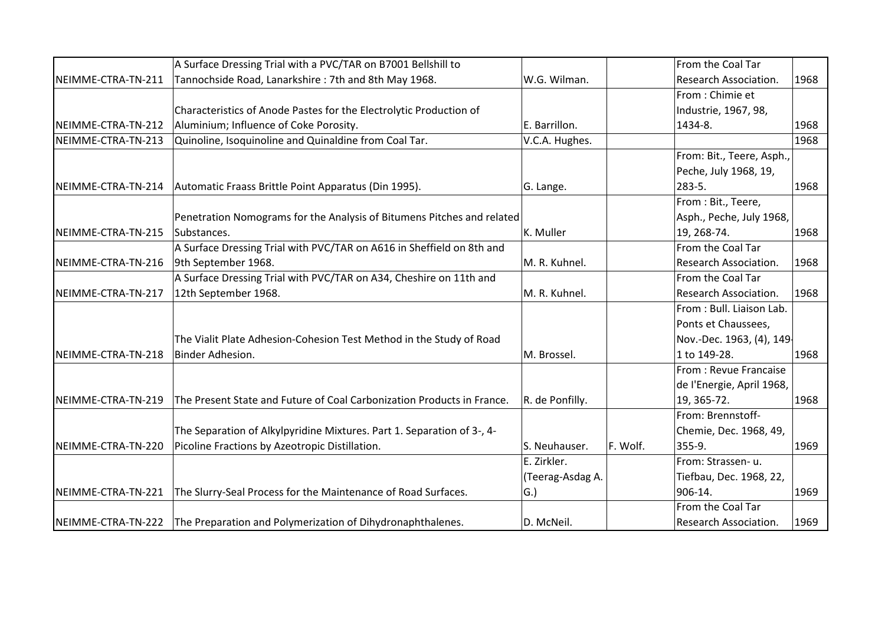|                    | A Surface Dressing Trial with a PVC/TAR on B7001 Bellshill to          |                     |          | From the Coal Tar         |      |
|--------------------|------------------------------------------------------------------------|---------------------|----------|---------------------------|------|
| NEIMME-CTRA-TN-211 | Tannochside Road, Lanarkshire: 7th and 8th May 1968.                   | W.G. Wilman.        |          | Research Association.     | 1968 |
|                    |                                                                        |                     |          | From : Chimie et          |      |
|                    | Characteristics of Anode Pastes for the Electrolytic Production of     |                     |          | Industrie, 1967, 98,      |      |
| NEIMME-CTRA-TN-212 | Aluminium; Influence of Coke Porosity.                                 | E. Barrillon.       |          | 1434-8.                   | 1968 |
| NEIMME-CTRA-TN-213 | Quinoline, Isoquinoline and Quinaldine from Coal Tar.                  | V.C.A. Hughes.      |          |                           | 1968 |
|                    |                                                                        |                     |          | From: Bit., Teere, Asph., |      |
|                    |                                                                        |                     |          | Peche, July 1968, 19,     |      |
| NEIMME-CTRA-TN-214 | Automatic Fraass Brittle Point Apparatus (Din 1995).                   | G. Lange.           |          | 283-5.                    | 1968 |
|                    |                                                                        |                     |          | From: Bit., Teere,        |      |
|                    | Penetration Nomograms for the Analysis of Bitumens Pitches and related |                     |          | Asph., Peche, July 1968,  |      |
| NEIMME-CTRA-TN-215 | Substances.                                                            | K. Muller           |          | 19, 268-74.               | 1968 |
|                    | A Surface Dressing Trial with PVC/TAR on A616 in Sheffield on 8th and  |                     |          | From the Coal Tar         |      |
| NEIMME-CTRA-TN-216 | 9th September 1968.                                                    | M. R. Kuhnel.       |          | Research Association.     | 1968 |
|                    | A Surface Dressing Trial with PVC/TAR on A34, Cheshire on 11th and     |                     |          | From the Coal Tar         |      |
| NEIMME-CTRA-TN-217 | 12th September 1968.                                                   | M. R. Kuhnel.       |          | Research Association.     | 1968 |
|                    |                                                                        |                     |          | From: Bull. Liaison Lab.  |      |
|                    |                                                                        |                     |          | Ponts et Chaussees,       |      |
|                    | The Vialit Plate Adhesion-Cohesion Test Method in the Study of Road    |                     |          | Nov.-Dec. 1963, (4), 149  |      |
| NEIMME-CTRA-TN-218 | Binder Adhesion.                                                       | M. Brossel.         |          | 1 to 149-28.              | 1968 |
|                    |                                                                        |                     |          | From: Revue Francaise     |      |
|                    |                                                                        |                     |          | de l'Energie, April 1968, |      |
| NEIMME-CTRA-TN-219 | The Present State and Future of Coal Carbonization Products in France. | R. de Ponfilly.     |          | 19, 365-72.               | 1968 |
|                    |                                                                        |                     |          | From: Brennstoff-         |      |
|                    | The Separation of Alkylpyridine Mixtures. Part 1. Separation of 3-, 4- |                     |          | Chemie, Dec. 1968, 49,    |      |
| NEIMME-CTRA-TN-220 | Picoline Fractions by Azeotropic Distillation.                         | S. Neuhauser.       | F. Wolf. | 355-9.                    | 1969 |
|                    |                                                                        | E. Zirkler.         |          | From: Strassen-u.         |      |
|                    |                                                                        | (Teerag-Asdag A.    |          | Tiefbau, Dec. 1968, 22,   |      |
| NEIMME-CTRA-TN-221 | The Slurry-Seal Process for the Maintenance of Road Surfaces.          | $ G_{\cdot}\rangle$ |          | 906-14.                   | 1969 |
|                    |                                                                        |                     |          | From the Coal Tar         |      |
| NEIMME-CTRA-TN-222 | The Preparation and Polymerization of Dihydronaphthalenes.             | D. McNeil.          |          | Research Association.     | 1969 |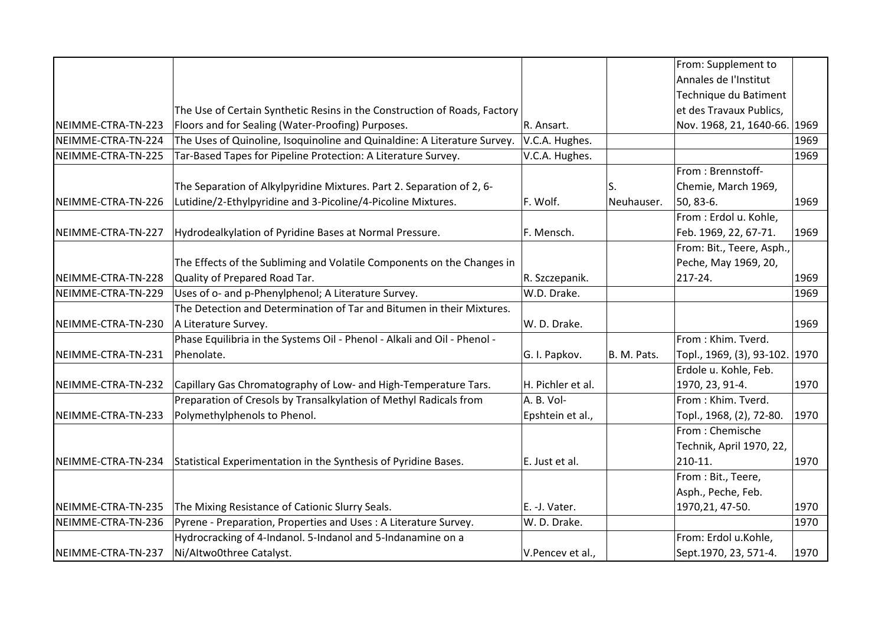|                    |                                                                           |                   |             | From: Supplement to            |      |
|--------------------|---------------------------------------------------------------------------|-------------------|-------------|--------------------------------|------|
|                    |                                                                           |                   |             | Annales de l'Institut          |      |
|                    |                                                                           |                   |             | Technique du Batiment          |      |
|                    | The Use of Certain Synthetic Resins in the Construction of Roads, Factory |                   |             | et des Travaux Publics,        |      |
| NEIMME-CTRA-TN-223 | Floors and for Sealing (Water-Proofing) Purposes.                         | R. Ansart.        |             | Nov. 1968, 21, 1640-66. 1969   |      |
| NEIMME-CTRA-TN-224 | The Uses of Quinoline, Isoquinoline and Quinaldine: A Literature Survey.  | V.C.A. Hughes.    |             |                                | 1969 |
| NEIMME-CTRA-TN-225 | Tar-Based Tapes for Pipeline Protection: A Literature Survey.             | V.C.A. Hughes.    |             |                                | 1969 |
|                    |                                                                           |                   |             | From: Brennstoff-              |      |
|                    | The Separation of Alkylpyridine Mixtures. Part 2. Separation of 2, 6-     |                   | S.          | Chemie, March 1969,            |      |
| NEIMME-CTRA-TN-226 | Lutidine/2-Ethylpyridine and 3-Picoline/4-Picoline Mixtures.              | F. Wolf.          | Neuhauser.  | 50, 83-6.                      | 1969 |
|                    |                                                                           |                   |             | From : Erdol u. Kohle,         |      |
| NEIMME-CTRA-TN-227 | Hydrodealkylation of Pyridine Bases at Normal Pressure.                   | F. Mensch.        |             | Feb. 1969, 22, 67-71.          | 1969 |
|                    |                                                                           |                   |             | From: Bit., Teere, Asph.,      |      |
|                    | The Effects of the Subliming and Volatile Components on the Changes in    |                   |             | Peche, May 1969, 20,           |      |
| NEIMME-CTRA-TN-228 | Quality of Prepared Road Tar.                                             | R. Szczepanik.    |             | 217-24.                        | 1969 |
| NEIMME-CTRA-TN-229 | Uses of o- and p-Phenylphenol; A Literature Survey.                       | W.D. Drake.       |             |                                | 1969 |
|                    | The Detection and Determination of Tar and Bitumen in their Mixtures.     |                   |             |                                |      |
| NEIMME-CTRA-TN-230 | A Literature Survey.                                                      | W. D. Drake.      |             |                                | 1969 |
|                    | Phase Equilibria in the Systems Oil - Phenol - Alkali and Oil - Phenol -  |                   |             | From: Khim. Tverd.             |      |
| NEIMME-CTRA-TN-231 | Phenolate.                                                                | G. I. Papkov.     | B. M. Pats. | Topl., 1969, (3), 93-102. 1970 |      |
|                    |                                                                           |                   |             | Erdole u. Kohle, Feb.          |      |
| NEIMME-CTRA-TN-232 | Capillary Gas Chromatography of Low- and High-Temperature Tars.           | H. Pichler et al. |             | 1970, 23, 91-4.                | 1970 |
|                    | Preparation of Cresols by Transalkylation of Methyl Radicals from         | A. B. Vol-        |             | From: Khim. Tverd.             |      |
| NEIMME-CTRA-TN-233 | Polymethylphenols to Phenol.                                              | Epshtein et al.,  |             | Topl., 1968, (2), 72-80.       | 1970 |
|                    |                                                                           |                   |             | From: Chemische                |      |
|                    |                                                                           |                   |             | Technik, April 1970, 22,       |      |
| NEIMME-CTRA-TN-234 | Statistical Experimentation in the Synthesis of Pyridine Bases.           | E. Just et al.    |             | 210-11.                        | 1970 |
|                    |                                                                           |                   |             | From: Bit., Teere,             |      |
|                    |                                                                           |                   |             | Asph., Peche, Feb.             |      |
| NEIMME-CTRA-TN-235 | The Mixing Resistance of Cationic Slurry Seals.                           | E. - J. Vater.    |             | 1970, 21, 47-50.               | 1970 |
| NEIMME-CTRA-TN-236 | Pyrene - Preparation, Properties and Uses: A Literature Survey.           | W. D. Drake.      |             |                                | 1970 |
|                    | Hydrocracking of 4-Indanol. 5-Indanol and 5-Indanamine on a               |                   |             | From: Erdol u.Kohle,           |      |
| NEIMME-CTRA-TN-237 | Ni/Altwo0three Catalyst.                                                  | V.Pencev et al.,  |             | Sept.1970, 23, 571-4.          | 1970 |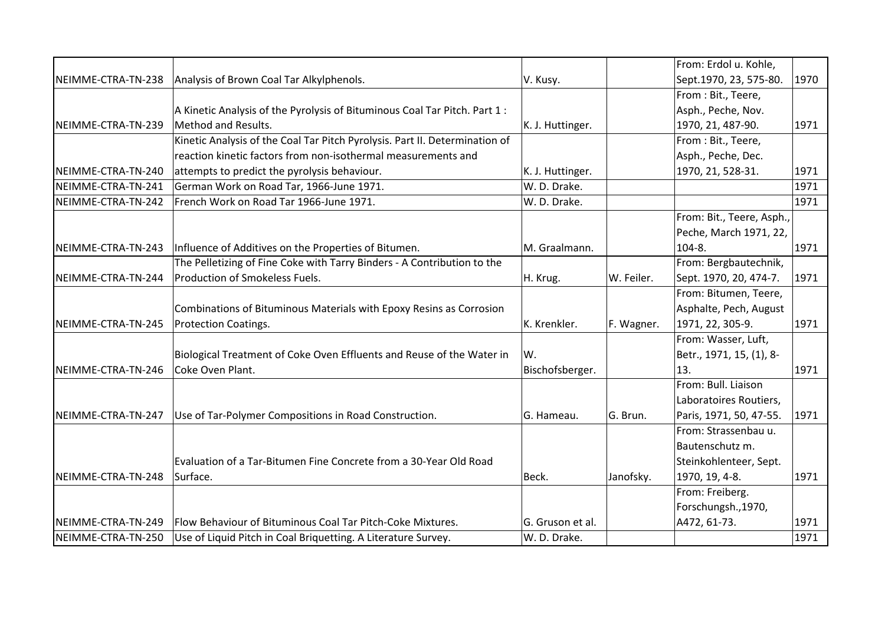|                    |                                                                             |                  |            | From: Erdol u. Kohle,                               |      |
|--------------------|-----------------------------------------------------------------------------|------------------|------------|-----------------------------------------------------|------|
| NEIMME-CTRA-TN-238 | Analysis of Brown Coal Tar Alkylphenols.                                    | V. Kusy.         |            | Sept.1970, 23, 575-80.                              | 1970 |
|                    |                                                                             |                  |            | From: Bit., Teere,                                  |      |
|                    | A Kinetic Analysis of the Pyrolysis of Bituminous Coal Tar Pitch. Part 1:   |                  |            | Asph., Peche, Nov.                                  |      |
| NEIMME-CTRA-TN-239 | Method and Results.                                                         | K. J. Huttinger. |            | 1970, 21, 487-90.                                   | 1971 |
|                    | Kinetic Analysis of the Coal Tar Pitch Pyrolysis. Part II. Determination of |                  |            | From: Bit., Teere,                                  |      |
|                    | reaction kinetic factors from non-isothermal measurements and               |                  |            | Asph., Peche, Dec.                                  |      |
| NEIMME-CTRA-TN-240 | attempts to predict the pyrolysis behaviour.                                | K. J. Huttinger. |            | 1970, 21, 528-31.                                   | 1971 |
| NEIMME-CTRA-TN-241 | German Work on Road Tar, 1966-June 1971.                                    | W. D. Drake.     |            |                                                     | 1971 |
| NEIMME-CTRA-TN-242 | French Work on Road Tar 1966-June 1971.                                     | W. D. Drake.     |            |                                                     | 1971 |
|                    |                                                                             |                  |            | From: Bit., Teere, Asph.,<br>Peche, March 1971, 22, |      |
| NEIMME-CTRA-TN-243 | Influence of Additives on the Properties of Bitumen.                        | M. Graalmann.    |            | 104-8.                                              | 1971 |
|                    | The Pelletizing of Fine Coke with Tarry Binders - A Contribution to the     |                  |            | From: Bergbautechnik,                               |      |
| NEIMME-CTRA-TN-244 | Production of Smokeless Fuels.                                              | H. Krug.         | W. Feiler. | Sept. 1970, 20, 474-7.                              | 1971 |
|                    |                                                                             |                  |            | From: Bitumen, Teere,                               |      |
|                    | Combinations of Bituminous Materials with Epoxy Resins as Corrosion         |                  |            | Asphalte, Pech, August                              |      |
| NEIMME-CTRA-TN-245 | <b>Protection Coatings.</b>                                                 | K. Krenkler.     | F. Wagner. | 1971, 22, 305-9.                                    | 1971 |
|                    |                                                                             |                  |            | From: Wasser, Luft,                                 |      |
|                    | Biological Treatment of Coke Oven Effluents and Reuse of the Water in       | W.               |            | Betr., 1971, 15, (1), 8-                            |      |
| NEIMME-CTRA-TN-246 | Coke Oven Plant.                                                            | Bischofsberger.  |            | 13.                                                 | 1971 |
|                    |                                                                             |                  |            | From: Bull. Liaison                                 |      |
|                    |                                                                             |                  |            | Laboratoires Routiers,                              |      |
| NEIMME-CTRA-TN-247 | Use of Tar-Polymer Compositions in Road Construction.                       | G. Hameau.       | G. Brun.   | Paris, 1971, 50, 47-55.                             | 1971 |
|                    |                                                                             |                  |            | From: Strassenbau u.                                |      |
|                    |                                                                             |                  |            | Bautenschutz m.                                     |      |
|                    | Evaluation of a Tar-Bitumen Fine Concrete from a 30-Year Old Road           |                  |            | Steinkohlenteer, Sept.                              |      |
| NEIMME-CTRA-TN-248 | Surface.                                                                    | Beck.            | Janofsky.  | 1970, 19, 4-8.                                      | 1971 |
|                    |                                                                             |                  |            | From: Freiberg.                                     |      |
|                    |                                                                             |                  |            | Forschungsh., 1970,                                 |      |
| NEIMME-CTRA-TN-249 | Flow Behaviour of Bituminous Coal Tar Pitch-Coke Mixtures.                  | G. Gruson et al. |            | A472, 61-73.                                        | 1971 |
| NEIMME-CTRA-TN-250 | Use of Liquid Pitch in Coal Briquetting. A Literature Survey.               | W. D. Drake.     |            |                                                     | 1971 |